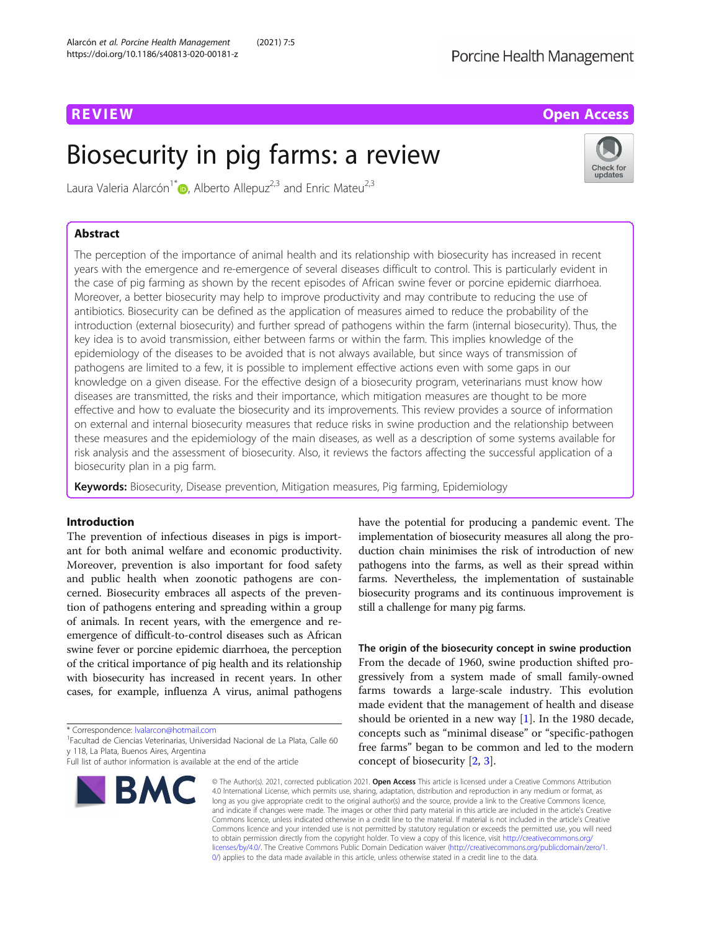# R EVI EW Open Access

# Biosecurity in pig farms: a review



Laura Valeria Alarcón<sup>1\*</sup> <sub>(b</sub>[,](http://orcid.org/0000-0002-3452-5783) Alberto Allepuz<sup>2,3</sup> and Enric Mateu<sup>2,3</sup>

# Abstract

The perception of the importance of animal health and its relationship with biosecurity has increased in recent years with the emergence and re-emergence of several diseases difficult to control. This is particularly evident in the case of pig farming as shown by the recent episodes of African swine fever or porcine epidemic diarrhoea. Moreover, a better biosecurity may help to improve productivity and may contribute to reducing the use of antibiotics. Biosecurity can be defined as the application of measures aimed to reduce the probability of the introduction (external biosecurity) and further spread of pathogens within the farm (internal biosecurity). Thus, the key idea is to avoid transmission, either between farms or within the farm. This implies knowledge of the epidemiology of the diseases to be avoided that is not always available, but since ways of transmission of pathogens are limited to a few, it is possible to implement effective actions even with some gaps in our knowledge on a given disease. For the effective design of a biosecurity program, veterinarians must know how diseases are transmitted, the risks and their importance, which mitigation measures are thought to be more effective and how to evaluate the biosecurity and its improvements. This review provides a source of information on external and internal biosecurity measures that reduce risks in swine production and the relationship between these measures and the epidemiology of the main diseases, as well as a description of some systems available for risk analysis and the assessment of biosecurity. Also, it reviews the factors affecting the successful application of a biosecurity plan in a pig farm.

Keywords: Biosecurity, Disease prevention, Mitigation measures, Pig farming, Epidemiology

## Introduction

The prevention of infectious diseases in pigs is important for both animal welfare and economic productivity. Moreover, prevention is also important for food safety and public health when zoonotic pathogens are concerned. Biosecurity embraces all aspects of the prevention of pathogens entering and spreading within a group of animals. In recent years, with the emergence and reemergence of difficult-to-control diseases such as African swine fever or porcine epidemic diarrhoea, the perception of the critical importance of pig health and its relationship with biosecurity has increased in recent years. In other cases, for example, influenza A virus, animal pathogens

\* Correspondence: [lvalarcon@hotmail.com](mailto:lvalarcon@hotmail.com) <sup>1</sup>

Facultad de Ciencias Veterinarias, Universidad Nacional de La Plata, Calle 60 y 118, La Plata, Buenos Aires, Argentina

Full list of author information is available at the end of the article



have the potential for producing a pandemic event. The implementation of biosecurity measures all along the production chain minimises the risk of introduction of new pathogens into the farms, as well as their spread within farms. Nevertheless, the implementation of sustainable biosecurity programs and its continuous improvement is still a challenge for many pig farms.

The origin of the biosecurity concept in swine production From the decade of 1960, swine production shifted progressively from a system made of small family-owned farms towards a large-scale industry. This evolution made evident that the management of health and disease should be oriented in a new way [[1\]](#page-10-0). In the 1980 decade, concepts such as "minimal disease" or "specific-pathogen free farms" began to be common and led to the modern concept of biosecurity [\[2](#page-10-0), [3](#page-10-0)].

© The Author(s). 2021, corrected publication 2021. Open Access This article is licensed under a Creative Commons Attribution 4.0 International License, which permits use, sharing, adaptation, distribution and reproduction in any medium or format, as long as you give appropriate credit to the original author(s) and the source, provide a link to the Creative Commons licence, and indicate if changes were made. The images or other third party material in this article are included in the article's Creative Commons licence, unless indicated otherwise in a credit line to the material. If material is not included in the article's Creative Commons licence and your intended use is not permitted by statutory regulation or exceeds the permitted use, you will need to obtain permission directly from the copyright holder. To view a copy of this licence, visit [http://creativecommons.org/](http://creativecommons.org/licenses/by/4.0/) [licenses/by/4.0/.](http://creativecommons.org/licenses/by/4.0/) The Creative Commons Public Domain Dedication waiver ([http://creativecommons.org/publicdomain/zero/1.](http://creativecommons.org/publicdomain/zero/1.0/) [0/\)](http://creativecommons.org/publicdomain/zero/1.0/) applies to the data made available in this article, unless otherwise stated in a credit line to the data.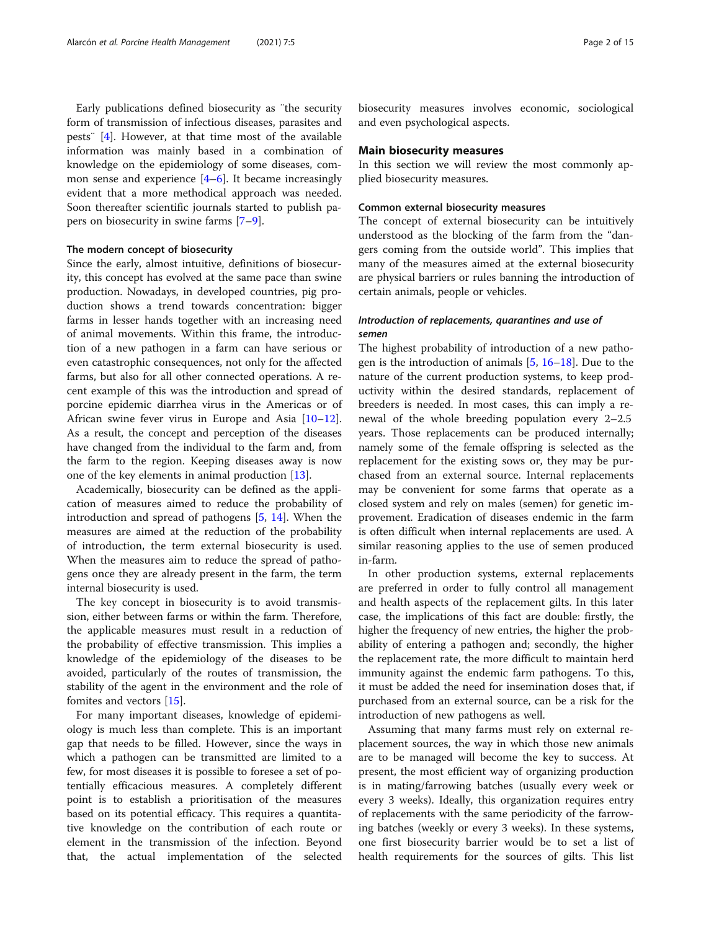Early publications defined biosecurity as ¨the security form of transmission of infectious diseases, parasites and pests¨ [\[4](#page-10-0)]. However, at that time most of the available information was mainly based in a combination of knowledge on the epidemiology of some diseases, common sense and experience  $[4-6]$  $[4-6]$  $[4-6]$  $[4-6]$ . It became increasingly evident that a more methodical approach was needed. Soon thereafter scientific journals started to publish papers on biosecurity in swine farms [\[7](#page-10-0)–[9](#page-10-0)].

#### The modern concept of biosecurity

Since the early, almost intuitive, definitions of biosecurity, this concept has evolved at the same pace than swine production. Nowadays, in developed countries, pig production shows a trend towards concentration: bigger farms in lesser hands together with an increasing need of animal movements. Within this frame, the introduction of a new pathogen in a farm can have serious or even catastrophic consequences, not only for the affected farms, but also for all other connected operations. A recent example of this was the introduction and spread of porcine epidemic diarrhea virus in the Americas or of African swine fever virus in Europe and Asia [[10](#page-10-0)–[12](#page-10-0)]. As a result, the concept and perception of the diseases have changed from the individual to the farm and, from the farm to the region. Keeping diseases away is now one of the key elements in animal production [[13\]](#page-10-0).

Academically, biosecurity can be defined as the application of measures aimed to reduce the probability of introduction and spread of pathogens [[5,](#page-10-0) [14](#page-10-0)]. When the measures are aimed at the reduction of the probability of introduction, the term external biosecurity is used. When the measures aim to reduce the spread of pathogens once they are already present in the farm, the term internal biosecurity is used.

The key concept in biosecurity is to avoid transmission, either between farms or within the farm. Therefore, the applicable measures must result in a reduction of the probability of effective transmission. This implies a knowledge of the epidemiology of the diseases to be avoided, particularly of the routes of transmission, the stability of the agent in the environment and the role of fomites and vectors [[15\]](#page-10-0).

For many important diseases, knowledge of epidemiology is much less than complete. This is an important gap that needs to be filled. However, since the ways in which a pathogen can be transmitted are limited to a few, for most diseases it is possible to foresee a set of potentially efficacious measures. A completely different point is to establish a prioritisation of the measures based on its potential efficacy. This requires a quantitative knowledge on the contribution of each route or element in the transmission of the infection. Beyond that, the actual implementation of the selected

biosecurity measures involves economic, sociological and even psychological aspects.

#### Main biosecurity measures

In this section we will review the most commonly applied biosecurity measures.

#### Common external biosecurity measures

The concept of external biosecurity can be intuitively understood as the blocking of the farm from the "dangers coming from the outside world". This implies that many of the measures aimed at the external biosecurity are physical barriers or rules banning the introduction of certain animals, people or vehicles.

### Introduction of replacements, quarantines and use of semen

The highest probability of introduction of a new pathogen is the introduction of animals [\[5](#page-10-0), [16](#page-10-0)–[18](#page-10-0)]. Due to the nature of the current production systems, to keep productivity within the desired standards, replacement of breeders is needed. In most cases, this can imply a renewal of the whole breeding population every 2–2.5 years. Those replacements can be produced internally; namely some of the female offspring is selected as the replacement for the existing sows or, they may be purchased from an external source. Internal replacements may be convenient for some farms that operate as a closed system and rely on males (semen) for genetic improvement. Eradication of diseases endemic in the farm is often difficult when internal replacements are used. A similar reasoning applies to the use of semen produced in-farm.

In other production systems, external replacements are preferred in order to fully control all management and health aspects of the replacement gilts. In this later case, the implications of this fact are double: firstly, the higher the frequency of new entries, the higher the probability of entering a pathogen and; secondly, the higher the replacement rate, the more difficult to maintain herd immunity against the endemic farm pathogens. To this, it must be added the need for insemination doses that, if purchased from an external source, can be a risk for the introduction of new pathogens as well.

Assuming that many farms must rely on external replacement sources, the way in which those new animals are to be managed will become the key to success. At present, the most efficient way of organizing production is in mating/farrowing batches (usually every week or every 3 weeks). Ideally, this organization requires entry of replacements with the same periodicity of the farrowing batches (weekly or every 3 weeks). In these systems, one first biosecurity barrier would be to set a list of health requirements for the sources of gilts. This list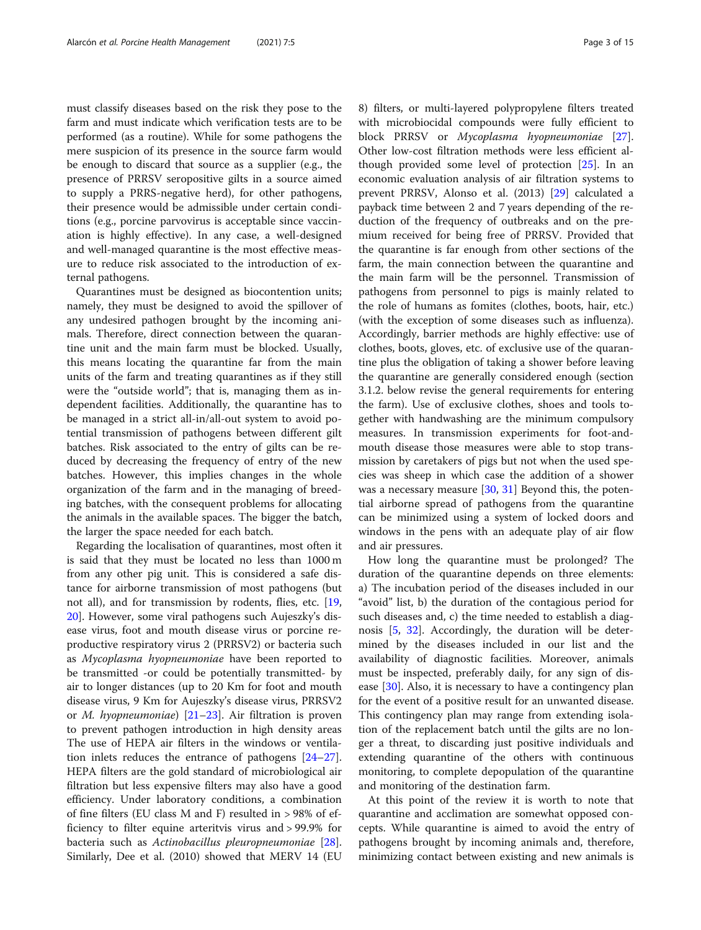must classify diseases based on the risk they pose to the farm and must indicate which verification tests are to be performed (as a routine). While for some pathogens the mere suspicion of its presence in the source farm would be enough to discard that source as a supplier (e.g., the presence of PRRSV seropositive gilts in a source aimed to supply a PRRS-negative herd), for other pathogens, their presence would be admissible under certain conditions (e.g., porcine parvovirus is acceptable since vaccination is highly effective). In any case, a well-designed and well-managed quarantine is the most effective measure to reduce risk associated to the introduction of external pathogens.

Quarantines must be designed as biocontention units; namely, they must be designed to avoid the spillover of any undesired pathogen brought by the incoming animals. Therefore, direct connection between the quarantine unit and the main farm must be blocked. Usually, this means locating the quarantine far from the main units of the farm and treating quarantines as if they still were the "outside world"; that is, managing them as independent facilities. Additionally, the quarantine has to be managed in a strict all-in/all-out system to avoid potential transmission of pathogens between different gilt batches. Risk associated to the entry of gilts can be reduced by decreasing the frequency of entry of the new batches. However, this implies changes in the whole organization of the farm and in the managing of breeding batches, with the consequent problems for allocating the animals in the available spaces. The bigger the batch, the larger the space needed for each batch.

Regarding the localisation of quarantines, most often it is said that they must be located no less than 1000 m from any other pig unit. This is considered a safe distance for airborne transmission of most pathogens (but not all), and for transmission by rodents, flies, etc. [[19](#page-10-0), [20\]](#page-11-0). However, some viral pathogens such Aujeszky's disease virus, foot and mouth disease virus or porcine reproductive respiratory virus 2 (PRRSV2) or bacteria such as Mycoplasma hyopneumoniae have been reported to be transmitted -or could be potentially transmitted- by air to longer distances (up to 20 Km for foot and mouth disease virus, 9 Km for Aujeszky's disease virus, PRRSV2 or *M. hyopneumoniae*)  $[21–23]$  $[21–23]$  $[21–23]$  $[21–23]$  $[21–23]$ . Air filtration is proven to prevent pathogen introduction in high density areas The use of HEPA air filters in the windows or ventilation inlets reduces the entrance of pathogens [[24](#page-11-0)–[27](#page-11-0)]. HEPA filters are the gold standard of microbiological air filtration but less expensive filters may also have a good efficiency. Under laboratory conditions, a combination of fine filters (EU class M and F) resulted in > 98% of efficiency to filter equine arteritvis virus and > 99.9% for bacteria such as Actinobacillus pleuropneumoniae [\[28](#page-11-0)]. Similarly, Dee et al. (2010) showed that MERV 14 (EU 8) filters, or multi-layered polypropylene filters treated with microbiocidal compounds were fully efficient to block PRRSV or Mycoplasma hyopneumoniae [\[27](#page-11-0)]. Other low-cost filtration methods were less efficient although provided some level of protection [\[25](#page-11-0)]. In an economic evaluation analysis of air filtration systems to prevent PRRSV, Alonso et al. (2013) [[29\]](#page-11-0) calculated a payback time between 2 and 7 years depending of the reduction of the frequency of outbreaks and on the premium received for being free of PRRSV. Provided that the quarantine is far enough from other sections of the farm, the main connection between the quarantine and the main farm will be the personnel. Transmission of pathogens from personnel to pigs is mainly related to the role of humans as fomites (clothes, boots, hair, etc.) (with the exception of some diseases such as influenza). Accordingly, barrier methods are highly effective: use of clothes, boots, gloves, etc. of exclusive use of the quarantine plus the obligation of taking a shower before leaving the quarantine are generally considered enough (section 3.1.2. below revise the general requirements for entering the farm). Use of exclusive clothes, shoes and tools together with handwashing are the minimum compulsory measures. In transmission experiments for foot-andmouth disease those measures were able to stop transmission by caretakers of pigs but not when the used species was sheep in which case the addition of a shower was a necessary measure  $[30, 31]$  $[30, 31]$  $[30, 31]$  $[30, 31]$  Beyond this, the potential airborne spread of pathogens from the quarantine can be minimized using a system of locked doors and windows in the pens with an adequate play of air flow and air pressures.

How long the quarantine must be prolonged? The duration of the quarantine depends on three elements: a) The incubation period of the diseases included in our "avoid" list, b) the duration of the contagious period for such diseases and, c) the time needed to establish a diagnosis [[5](#page-10-0), [32](#page-11-0)]. Accordingly, the duration will be determined by the diseases included in our list and the availability of diagnostic facilities. Moreover, animals must be inspected, preferably daily, for any sign of dis-ease [[30\]](#page-11-0). Also, it is necessary to have a contingency plan for the event of a positive result for an unwanted disease. This contingency plan may range from extending isolation of the replacement batch until the gilts are no longer a threat, to discarding just positive individuals and extending quarantine of the others with continuous monitoring, to complete depopulation of the quarantine and monitoring of the destination farm.

At this point of the review it is worth to note that quarantine and acclimation are somewhat opposed concepts. While quarantine is aimed to avoid the entry of pathogens brought by incoming animals and, therefore, minimizing contact between existing and new animals is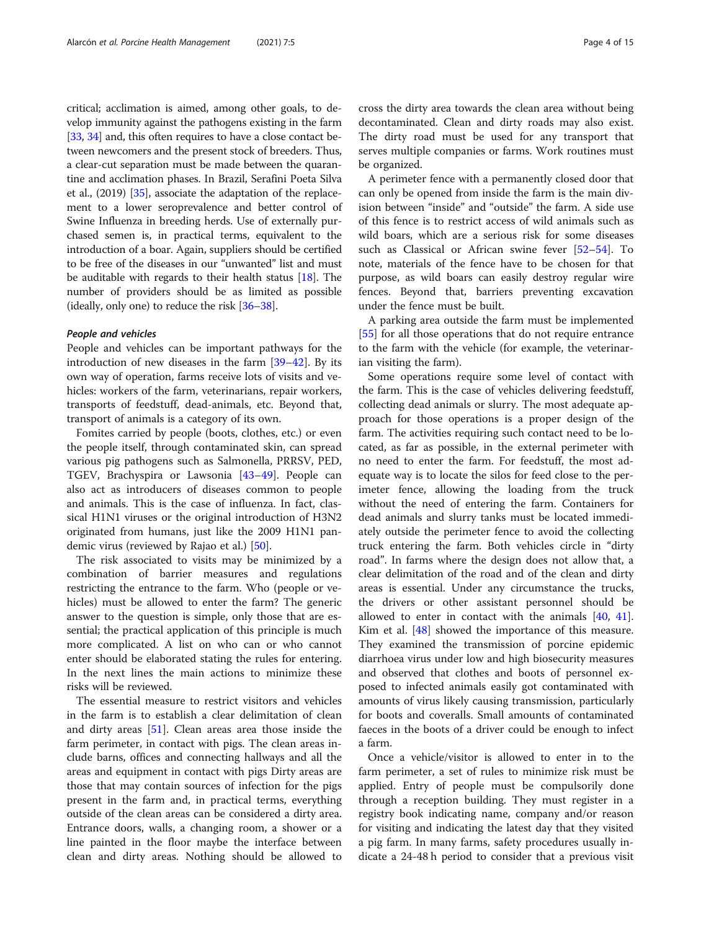critical; acclimation is aimed, among other goals, to develop immunity against the pathogens existing in the farm [[33](#page-11-0), [34\]](#page-11-0) and, this often requires to have a close contact between newcomers and the present stock of breeders. Thus, a clear-cut separation must be made between the quarantine and acclimation phases. In Brazil, Serafini Poeta Silva et al., (2019) [\[35](#page-11-0)], associate the adaptation of the replacement to a lower seroprevalence and better control of Swine Influenza in breeding herds. Use of externally purchased semen is, in practical terms, equivalent to the introduction of a boar. Again, suppliers should be certified to be free of the diseases in our "unwanted" list and must be auditable with regards to their health status [\[18\]](#page-10-0). The number of providers should be as limited as possible (ideally, only one) to reduce the risk [[36](#page-11-0)–[38](#page-11-0)].

#### People and vehicles

People and vehicles can be important pathways for the introduction of new diseases in the farm [[39](#page-11-0)–[42](#page-11-0)]. By its own way of operation, farms receive lots of visits and vehicles: workers of the farm, veterinarians, repair workers, transports of feedstuff, dead-animals, etc. Beyond that, transport of animals is a category of its own.

Fomites carried by people (boots, clothes, etc.) or even the people itself, through contaminated skin, can spread various pig pathogens such as Salmonella, PRRSV, PED, TGEV, Brachyspira or Lawsonia [\[43](#page-11-0)–[49\]](#page-11-0). People can also act as introducers of diseases common to people and animals. This is the case of influenza. In fact, classical H1N1 viruses or the original introduction of H3N2 originated from humans, just like the 2009 H1N1 pandemic virus (reviewed by Rajao et al.) [[50\]](#page-11-0).

The risk associated to visits may be minimized by a combination of barrier measures and regulations restricting the entrance to the farm. Who (people or vehicles) must be allowed to enter the farm? The generic answer to the question is simple, only those that are essential; the practical application of this principle is much more complicated. A list on who can or who cannot enter should be elaborated stating the rules for entering. In the next lines the main actions to minimize these risks will be reviewed.

The essential measure to restrict visitors and vehicles in the farm is to establish a clear delimitation of clean and dirty areas [\[51](#page-11-0)]. Clean areas area those inside the farm perimeter, in contact with pigs. The clean areas include barns, offices and connecting hallways and all the areas and equipment in contact with pigs Dirty areas are those that may contain sources of infection for the pigs present in the farm and, in practical terms, everything outside of the clean areas can be considered a dirty area. Entrance doors, walls, a changing room, a shower or a line painted in the floor maybe the interface between clean and dirty areas. Nothing should be allowed to cross the dirty area towards the clean area without being decontaminated. Clean and dirty roads may also exist. The dirty road must be used for any transport that serves multiple companies or farms. Work routines must be organized.

A perimeter fence with a permanently closed door that can only be opened from inside the farm is the main division between "inside" and "outside" the farm. A side use of this fence is to restrict access of wild animals such as wild boars, which are a serious risk for some diseases such as Classical or African swine fever [[52](#page-11-0)–[54](#page-11-0)]. To note, materials of the fence have to be chosen for that purpose, as wild boars can easily destroy regular wire fences. Beyond that, barriers preventing excavation under the fence must be built.

A parking area outside the farm must be implemented [[55\]](#page-11-0) for all those operations that do not require entrance to the farm with the vehicle (for example, the veterinarian visiting the farm).

Some operations require some level of contact with the farm. This is the case of vehicles delivering feedstuff, collecting dead animals or slurry. The most adequate approach for those operations is a proper design of the farm. The activities requiring such contact need to be located, as far as possible, in the external perimeter with no need to enter the farm. For feedstuff, the most adequate way is to locate the silos for feed close to the perimeter fence, allowing the loading from the truck without the need of entering the farm. Containers for dead animals and slurry tanks must be located immediately outside the perimeter fence to avoid the collecting truck entering the farm. Both vehicles circle in "dirty road". In farms where the design does not allow that, a clear delimitation of the road and of the clean and dirty areas is essential. Under any circumstance the trucks, the drivers or other assistant personnel should be allowed to enter in contact with the animals [[40,](#page-11-0) [41](#page-11-0)]. Kim et al. [\[48](#page-11-0)] showed the importance of this measure. They examined the transmission of porcine epidemic diarrhoea virus under low and high biosecurity measures and observed that clothes and boots of personnel exposed to infected animals easily got contaminated with amounts of virus likely causing transmission, particularly for boots and coveralls. Small amounts of contaminated faeces in the boots of a driver could be enough to infect a farm.

Once a vehicle/visitor is allowed to enter in to the farm perimeter, a set of rules to minimize risk must be applied. Entry of people must be compulsorily done through a reception building. They must register in a registry book indicating name, company and/or reason for visiting and indicating the latest day that they visited a pig farm. In many farms, safety procedures usually indicate a 24-48 h period to consider that a previous visit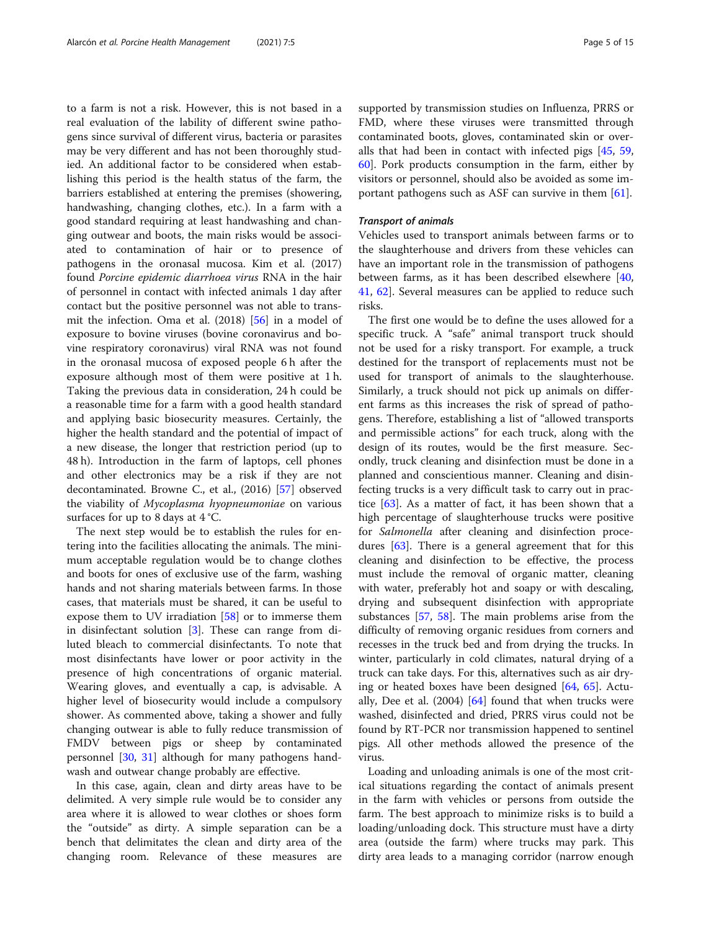to a farm is not a risk. However, this is not based in a real evaluation of the lability of different swine pathogens since survival of different virus, bacteria or parasites may be very different and has not been thoroughly studied. An additional factor to be considered when establishing this period is the health status of the farm, the barriers established at entering the premises (showering, handwashing, changing clothes, etc.). In a farm with a good standard requiring at least handwashing and changing outwear and boots, the main risks would be associated to contamination of hair or to presence of pathogens in the oronasal mucosa. Kim et al. (2017) found Porcine epidemic diarrhoea virus RNA in the hair of personnel in contact with infected animals 1 day after contact but the positive personnel was not able to transmit the infection. Oma et al. (2018) [[56\]](#page-11-0) in a model of exposure to bovine viruses (bovine coronavirus and bovine respiratory coronavirus) viral RNA was not found in the oronasal mucosa of exposed people 6 h after the exposure although most of them were positive at 1 h. Taking the previous data in consideration, 24 h could be a reasonable time for a farm with a good health standard and applying basic biosecurity measures. Certainly, the higher the health standard and the potential of impact of a new disease, the longer that restriction period (up to 48 h). Introduction in the farm of laptops, cell phones and other electronics may be a risk if they are not decontaminated. Browne C., et al., (2016) [\[57](#page-11-0)] observed the viability of Mycoplasma hyopneumoniae on various surfaces for up to 8 days at 4 °C.

The next step would be to establish the rules for entering into the facilities allocating the animals. The minimum acceptable regulation would be to change clothes and boots for ones of exclusive use of the farm, washing hands and not sharing materials between farms. In those cases, that materials must be shared, it can be useful to expose them to UV irradiation [[58](#page-11-0)] or to immerse them in disinfectant solution [\[3\]](#page-10-0). These can range from diluted bleach to commercial disinfectants. To note that most disinfectants have lower or poor activity in the presence of high concentrations of organic material. Wearing gloves, and eventually a cap, is advisable. A higher level of biosecurity would include a compulsory shower. As commented above, taking a shower and fully changing outwear is able to fully reduce transmission of FMDV between pigs or sheep by contaminated personnel [\[30](#page-11-0), [31](#page-11-0)] although for many pathogens handwash and outwear change probably are effective.

In this case, again, clean and dirty areas have to be delimited. A very simple rule would be to consider any area where it is allowed to wear clothes or shoes form the "outside" as dirty. A simple separation can be a bench that delimitates the clean and dirty area of the changing room. Relevance of these measures are supported by transmission studies on Influenza, PRRS or FMD, where these viruses were transmitted through contaminated boots, gloves, contaminated skin or overalls that had been in contact with infected pigs [[45,](#page-11-0) [59](#page-11-0), [60\]](#page-11-0). Pork products consumption in the farm, either by visitors or personnel, should also be avoided as some important pathogens such as ASF can survive in them [\[61\]](#page-11-0).

#### Transport of animals

Vehicles used to transport animals between farms or to the slaughterhouse and drivers from these vehicles can have an important role in the transmission of pathogens between farms, as it has been described elsewhere [[40](#page-11-0), [41,](#page-11-0) [62](#page-11-0)]. Several measures can be applied to reduce such risks.

The first one would be to define the uses allowed for a specific truck. A "safe" animal transport truck should not be used for a risky transport. For example, a truck destined for the transport of replacements must not be used for transport of animals to the slaughterhouse. Similarly, a truck should not pick up animals on different farms as this increases the risk of spread of pathogens. Therefore, establishing a list of "allowed transports and permissible actions" for each truck, along with the design of its routes, would be the first measure. Secondly, truck cleaning and disinfection must be done in a planned and conscientious manner. Cleaning and disinfecting trucks is a very difficult task to carry out in practice  $[63]$  $[63]$ . As a matter of fact, it has been shown that a high percentage of slaughterhouse trucks were positive for Salmonella after cleaning and disinfection procedures [\[63\]](#page-11-0). There is a general agreement that for this cleaning and disinfection to be effective, the process must include the removal of organic matter, cleaning with water, preferably hot and soapy or with descaling, drying and subsequent disinfection with appropriate substances [[57](#page-11-0), [58\]](#page-11-0). The main problems arise from the difficulty of removing organic residues from corners and recesses in the truck bed and from drying the trucks. In winter, particularly in cold climates, natural drying of a truck can take days. For this, alternatives such as air drying or heated boxes have been designed [\[64](#page-12-0), [65\]](#page-12-0). Actually, Dee et al.  $(2004)$   $[64]$  $[64]$  found that when trucks were washed, disinfected and dried, PRRS virus could not be found by RT-PCR nor transmission happened to sentinel pigs. All other methods allowed the presence of the virus.

Loading and unloading animals is one of the most critical situations regarding the contact of animals present in the farm with vehicles or persons from outside the farm. The best approach to minimize risks is to build a loading/unloading dock. This structure must have a dirty area (outside the farm) where trucks may park. This dirty area leads to a managing corridor (narrow enough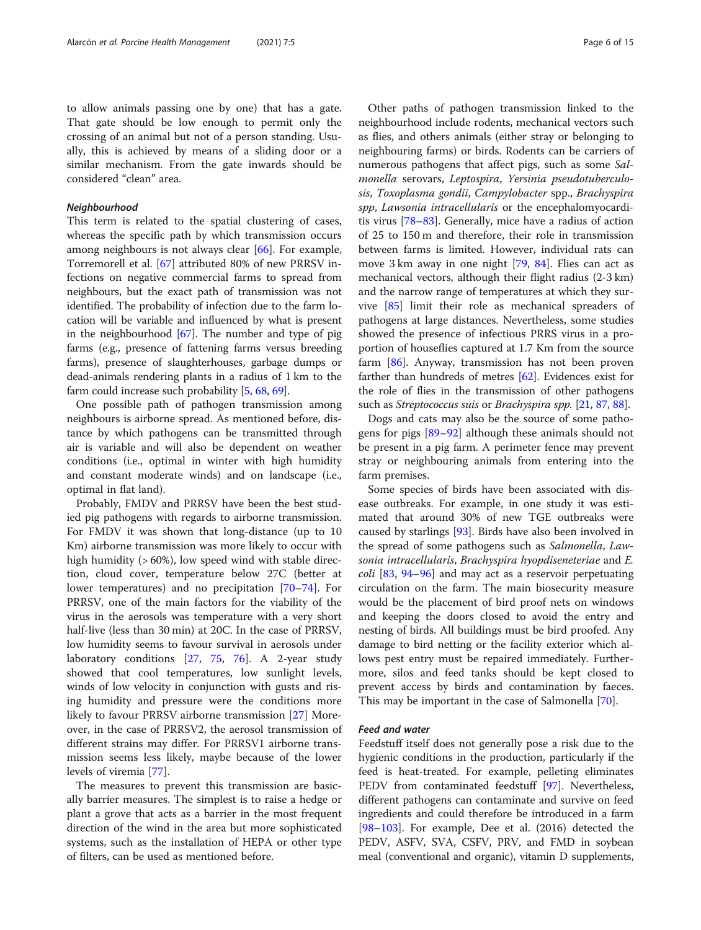to allow animals passing one by one) that has a gate. That gate should be low enough to permit only the crossing of an animal but not of a person standing. Usually, this is achieved by means of a sliding door or a similar mechanism. From the gate inwards should be considered "clean" area.

#### Neighbourhood

This term is related to the spatial clustering of cases, whereas the specific path by which transmission occurs among neighbours is not always clear [[66\]](#page-12-0). For example, Torremorell et al. [[67\]](#page-12-0) attributed 80% of new PRRSV infections on negative commercial farms to spread from neighbours, but the exact path of transmission was not identified. The probability of infection due to the farm location will be variable and influenced by what is present in the neighbourhood [\[67\]](#page-12-0). The number and type of pig farms (e.g., presence of fattening farms versus breeding farms), presence of slaughterhouses, garbage dumps or dead-animals rendering plants in a radius of 1 km to the farm could increase such probability [[5](#page-10-0), [68,](#page-12-0) [69](#page-12-0)].

One possible path of pathogen transmission among neighbours is airborne spread. As mentioned before, distance by which pathogens can be transmitted through air is variable and will also be dependent on weather conditions (i.e., optimal in winter with high humidity and constant moderate winds) and on landscape (i.e., optimal in flat land).

Probably, FMDV and PRRSV have been the best studied pig pathogens with regards to airborne transmission. For FMDV it was shown that long-distance (up to 10 Km) airborne transmission was more likely to occur with high humidity (> 60%), low speed wind with stable direction, cloud cover, temperature below 27C (better at lower temperatures) and no precipitation [[70](#page-12-0)–[74\]](#page-12-0). For PRRSV, one of the main factors for the viability of the virus in the aerosols was temperature with a very short half-live (less than 30 min) at 20C. In the case of PRRSV, low humidity seems to favour survival in aerosols under laboratory conditions [\[27](#page-11-0), [75,](#page-12-0) [76](#page-12-0)]. A 2-year study showed that cool temperatures, low sunlight levels, winds of low velocity in conjunction with gusts and rising humidity and pressure were the conditions more likely to favour PRRSV airborne transmission [[27\]](#page-11-0) Moreover, in the case of PRRSV2, the aerosol transmission of different strains may differ. For PRRSV1 airborne transmission seems less likely, maybe because of the lower levels of viremia [\[77\]](#page-12-0).

The measures to prevent this transmission are basically barrier measures. The simplest is to raise a hedge or plant a grove that acts as a barrier in the most frequent direction of the wind in the area but more sophisticated systems, such as the installation of HEPA or other type of filters, can be used as mentioned before.

Other paths of pathogen transmission linked to the neighbourhood include rodents, mechanical vectors such as flies, and others animals (either stray or belonging to neighbouring farms) or birds. Rodents can be carriers of numerous pathogens that affect pigs, such as some Salmonella serovars, Leptospira, Yersinia pseudotuberculosis, Toxoplasma gondii, Campylobacter spp., Brachyspira spp, Lawsonia intracellularis or the encephalomyocarditis virus [[78](#page-12-0)–[83](#page-12-0)]. Generally, mice have a radius of action of 25 to 150 m and therefore, their role in transmission between farms is limited. However, individual rats can move 3 km away in one night [\[79](#page-12-0), [84](#page-12-0)]. Flies can act as mechanical vectors, although their flight radius (2-3 km) and the narrow range of temperatures at which they survive [[85\]](#page-12-0) limit their role as mechanical spreaders of pathogens at large distances. Nevertheless, some studies showed the presence of infectious PRRS virus in a proportion of houseflies captured at 1.7 Km from the source farm [\[86\]](#page-12-0). Anyway, transmission has not been proven farther than hundreds of metres [[62](#page-11-0)]. Evidences exist for the role of flies in the transmission of other pathogens such as Streptococcus suis or Brachyspira spp. [\[21,](#page-11-0) [87](#page-12-0), [88](#page-12-0)].

Dogs and cats may also be the source of some pathogens for pigs [\[89](#page-12-0)–[92\]](#page-12-0) although these animals should not be present in a pig farm. A perimeter fence may prevent stray or neighbouring animals from entering into the farm premises.

Some species of birds have been associated with disease outbreaks. For example, in one study it was estimated that around 30% of new TGE outbreaks were caused by starlings [\[93\]](#page-12-0). Birds have also been involved in the spread of some pathogens such as Salmonella, Lawsonia intracellularis, Brachyspira hyopdiseneteriae and E. coli [[83](#page-12-0), [94](#page-12-0)–[96\]](#page-12-0) and may act as a reservoir perpetuating circulation on the farm. The main biosecurity measure would be the placement of bird proof nets on windows and keeping the doors closed to avoid the entry and nesting of birds. All buildings must be bird proofed. Any damage to bird netting or the facility exterior which allows pest entry must be repaired immediately. Furthermore, silos and feed tanks should be kept closed to prevent access by birds and contamination by faeces. This may be important in the case of Salmonella [\[70](#page-12-0)].

#### Feed and water

Feedstuff itself does not generally pose a risk due to the hygienic conditions in the production, particularly if the feed is heat-treated. For example, pelleting eliminates PEDV from contaminated feedstuff [\[97](#page-12-0)]. Nevertheless, different pathogens can contaminate and survive on feed ingredients and could therefore be introduced in a farm [[98](#page-12-0)–[103](#page-12-0)]. For example, Dee et al. (2016) detected the PEDV, ASFV, SVA, CSFV, PRV, and FMD in soybean meal (conventional and organic), vitamin D supplements,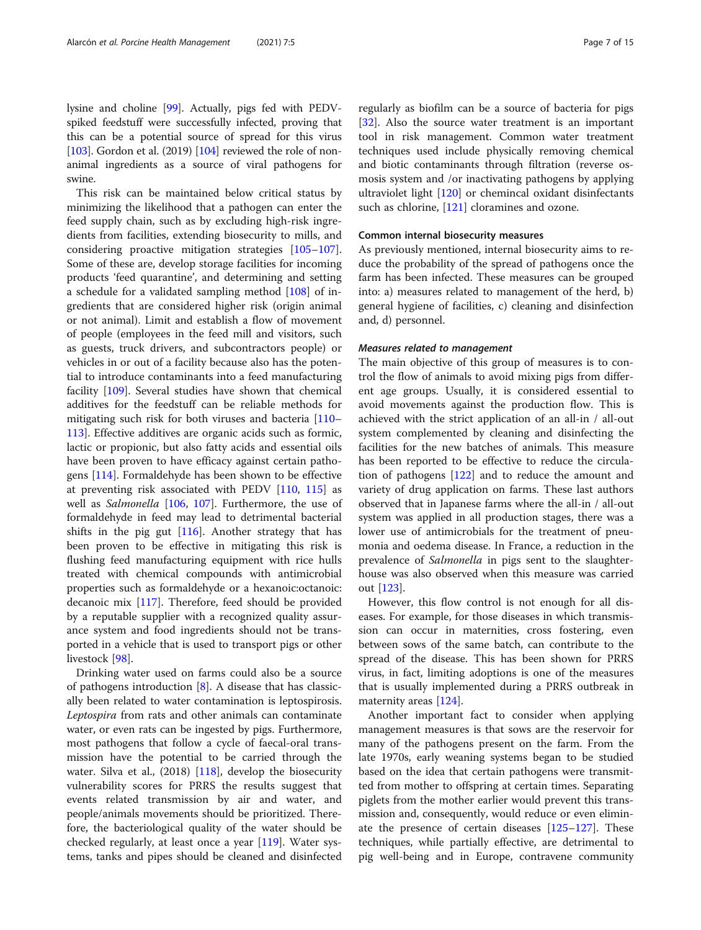lysine and choline [\[99](#page-12-0)]. Actually, pigs fed with PEDVspiked feedstuff were successfully infected, proving that this can be a potential source of spread for this virus [ $103$ ]. Gordon et al. (2019) [ $104$ ] reviewed the role of nonanimal ingredients as a source of viral pathogens for swine.

This risk can be maintained below critical status by minimizing the likelihood that a pathogen can enter the feed supply chain, such as by excluding high-risk ingredients from facilities, extending biosecurity to mills, and considering proactive mitigation strategies [[105](#page-12-0)–[107](#page-12-0)]. Some of these are, develop storage facilities for incoming products 'feed quarantine', and determining and setting a schedule for a validated sampling method [[108\]](#page-12-0) of ingredients that are considered higher risk (origin animal or not animal). Limit and establish a flow of movement of people (employees in the feed mill and visitors, such as guests, truck drivers, and subcontractors people) or vehicles in or out of a facility because also has the potential to introduce contaminants into a feed manufacturing facility [[109\]](#page-12-0). Several studies have shown that chemical additives for the feedstuff can be reliable methods for mitigating such risk for both viruses and bacteria [[110](#page-12-0)– [113](#page-13-0)]. Effective additives are organic acids such as formic, lactic or propionic, but also fatty acids and essential oils have been proven to have efficacy against certain pathogens [\[114\]](#page-13-0). Formaldehyde has been shown to be effective at preventing risk associated with PEDV [\[110,](#page-12-0) [115](#page-13-0)] as well as Salmonella [\[106,](#page-12-0) [107](#page-12-0)]. Furthermore, the use of formaldehyde in feed may lead to detrimental bacterial shifts in the pig gut [\[116\]](#page-13-0). Another strategy that has been proven to be effective in mitigating this risk is flushing feed manufacturing equipment with rice hulls treated with chemical compounds with antimicrobial properties such as formaldehyde or a hexanoic:octanoic: decanoic mix [\[117\]](#page-13-0). Therefore, feed should be provided by a reputable supplier with a recognized quality assurance system and food ingredients should not be transported in a vehicle that is used to transport pigs or other livestock [\[98\]](#page-12-0).

Drinking water used on farms could also be a source of pathogens introduction  $[8]$ . A disease that has classically been related to water contamination is leptospirosis. Leptospira from rats and other animals can contaminate water, or even rats can be ingested by pigs. Furthermore, most pathogens that follow a cycle of faecal-oral transmission have the potential to be carried through the water. Silva et al., (2018) [\[118\]](#page-13-0), develop the biosecurity vulnerability scores for PRRS the results suggest that events related transmission by air and water, and people/animals movements should be prioritized. Therefore, the bacteriological quality of the water should be checked regularly, at least once a year [\[119\]](#page-13-0). Water systems, tanks and pipes should be cleaned and disinfected

regularly as biofilm can be a source of bacteria for pigs [[32\]](#page-11-0). Also the source water treatment is an important tool in risk management. Common water treatment techniques used include physically removing chemical and biotic contaminants through filtration (reverse osmosis system and /or inactivating pathogens by applying ultraviolet light [[120](#page-13-0)] or chemincal oxidant disinfectants such as chlorine, [\[121](#page-13-0)] cloramines and ozone.

#### Common internal biosecurity measures

As previously mentioned, internal biosecurity aims to reduce the probability of the spread of pathogens once the farm has been infected. These measures can be grouped into: a) measures related to management of the herd, b) general hygiene of facilities, c) cleaning and disinfection and, d) personnel.

#### Measures related to management

The main objective of this group of measures is to control the flow of animals to avoid mixing pigs from different age groups. Usually, it is considered essential to avoid movements against the production flow. This is achieved with the strict application of an all-in / all-out system complemented by cleaning and disinfecting the facilities for the new batches of animals. This measure has been reported to be effective to reduce the circulation of pathogens [[122\]](#page-13-0) and to reduce the amount and variety of drug application on farms. These last authors observed that in Japanese farms where the all-in / all-out system was applied in all production stages, there was a lower use of antimicrobials for the treatment of pneumonia and oedema disease. In France, a reduction in the prevalence of Salmonella in pigs sent to the slaughterhouse was also observed when this measure was carried out [\[123](#page-13-0)].

However, this flow control is not enough for all diseases. For example, for those diseases in which transmission can occur in maternities, cross fostering, even between sows of the same batch, can contribute to the spread of the disease. This has been shown for PRRS virus, in fact, limiting adoptions is one of the measures that is usually implemented during a PRRS outbreak in maternity areas [[124\]](#page-13-0).

Another important fact to consider when applying management measures is that sows are the reservoir for many of the pathogens present on the farm. From the late 1970s, early weaning systems began to be studied based on the idea that certain pathogens were transmitted from mother to offspring at certain times. Separating piglets from the mother earlier would prevent this transmission and, consequently, would reduce or even eliminate the presence of certain diseases [\[125](#page-13-0)–[127\]](#page-13-0). These techniques, while partially effective, are detrimental to pig well-being and in Europe, contravene community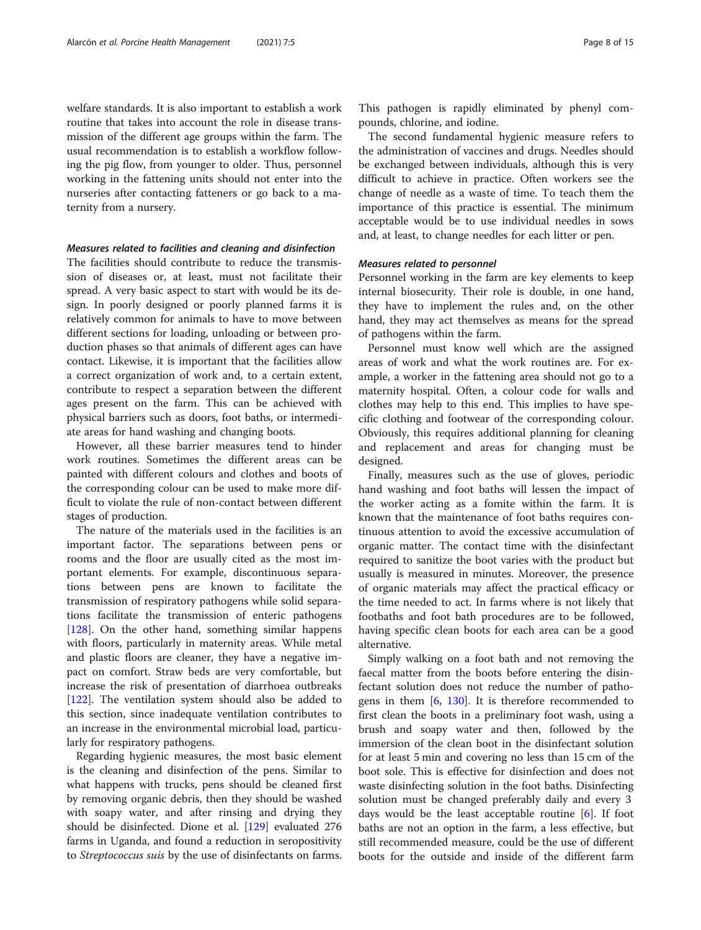welfare standards. It is also important to establish a work routine that takes into account the role in disease transmission of the different age groups within the farm. The usual recommendation is to establish a workflow following the pig flow, from younger to older. Thus, personnel working in the fattening units should not enter into the nurseries after contacting fatteners or go back to a maternity from a nursery.

#### Measures related to facilities and cleaning and disinfection

The facilities should contribute to reduce the transmission of diseases or, at least, must not facilitate their spread. A very basic aspect to start with would be its design. In poorly designed or poorly planned farms it is relatively common for animals to have to move between different sections for loading, unloading or between production phases so that animals of different ages can have contact. Likewise, it is important that the facilities allow a correct organization of work and, to a certain extent, contribute to respect a separation between the different ages present on the farm. This can be achieved with physical barriers such as doors, foot baths, or intermediate areas for hand washing and changing boots.

However, all these barrier measures tend to hinder work routines. Sometimes the different areas can be painted with different colours and clothes and boots of the corresponding colour can be used to make more difficult to violate the rule of non-contact between different stages of production.

The nature of the materials used in the facilities is an important factor. The separations between pens or rooms and the floor are usually cited as the most important elements. For example, discontinuous separations between pens are known to facilitate the transmission of respiratory pathogens while solid separations facilitate the transmission of enteric pathogens [[128\]](#page-13-0). On the other hand, something similar happens with floors, particularly in maternity areas. While metal and plastic floors are cleaner, they have a negative impact on comfort. Straw beds are very comfortable, but increase the risk of presentation of diarrhoea outbreaks [[122\]](#page-13-0). The ventilation system should also be added to this section, since inadequate ventilation contributes to an increase in the environmental microbial load, particularly for respiratory pathogens.

Regarding hygienic measures, the most basic element is the cleaning and disinfection of the pens. Similar to what happens with trucks, pens should be cleaned first by removing organic debris, then they should be washed with soapy water, and after rinsing and drying they should be disinfected. Dione et al. [[129](#page-13-0)] evaluated 276 farms in Uganda, and found a reduction in seropositivity to Streptococcus suis by the use of disinfectants on farms. This pathogen is rapidly eliminated by phenyl compounds, chlorine, and iodine.

The second fundamental hygienic measure refers to the administration of vaccines and drugs. Needles should be exchanged between individuals, although this is very difficult to achieve in practice. Often workers see the change of needle as a waste of time. To teach them the importance of this practice is essential. The minimum acceptable would be to use individual needles in sows and, at least, to change needles for each litter or pen.

#### Measures related to personnel

Personnel working in the farm are key elements to keep internal biosecurity. Their role is double, in one hand, they have to implement the rules and, on the other hand, they may act themselves as means for the spread of pathogens within the farm.

Personnel must know well which are the assigned areas of work and what the work routines are. For example, a worker in the fattening area should not go to a maternity hospital. Often, a colour code for walls and clothes may help to this end. This implies to have specific clothing and footwear of the corresponding colour. Obviously, this requires additional planning for cleaning and replacement and areas for changing must be designed.

Finally, measures such as the use of gloves, periodic hand washing and foot baths will lessen the impact of the worker acting as a fomite within the farm. It is known that the maintenance of foot baths requires continuous attention to avoid the excessive accumulation of organic matter. The contact time with the disinfectant required to sanitize the boot varies with the product but usually is measured in minutes. Moreover, the presence of organic materials may affect the practical efficacy or the time needed to act. In farms where is not likely that footbaths and foot bath procedures are to be followed, having specific clean boots for each area can be a good alternative.

Simply walking on a foot bath and not removing the faecal matter from the boots before entering the disinfectant solution does not reduce the number of pathogens in them [\[6](#page-10-0), [130\]](#page-13-0). It is therefore recommended to first clean the boots in a preliminary foot wash, using a brush and soapy water and then, followed by the immersion of the clean boot in the disinfectant solution for at least 5 min and covering no less than 15 cm of the boot sole. This is effective for disinfection and does not waste disinfecting solution in the foot baths. Disinfecting solution must be changed preferably daily and every 3 days would be the least acceptable routine [[6](#page-10-0)]. If foot baths are not an option in the farm, a less effective, but still recommended measure, could be the use of different boots for the outside and inside of the different farm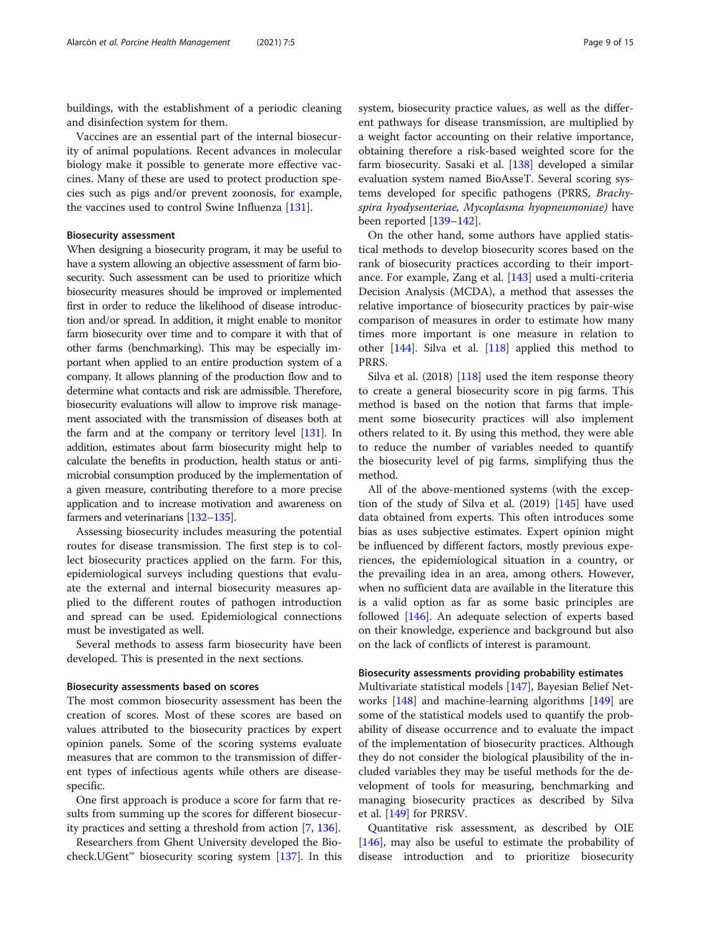buildings, with the establishment of a periodic cleaning and disinfection system for them.

Vaccines are an essential part of the internal biosecurity of animal populations. Recent advances in molecular biology make it possible to generate more effective vaccines. Many of these are used to protect production species such as pigs and/or prevent zoonosis, for example, the vaccines used to control Swine Influenza [[131\]](#page-13-0).

### Biosecurity assessment

When designing a biosecurity program, it may be useful to have a system allowing an objective assessment of farm biosecurity. Such assessment can be used to prioritize which biosecurity measures should be improved or implemented first in order to reduce the likelihood of disease introduction and/or spread. In addition, it might enable to monitor farm biosecurity over time and to compare it with that of other farms (benchmarking). This may be especially important when applied to an entire production system of a company. It allows planning of the production flow and to determine what contacts and risk are admissible. Therefore, biosecurity evaluations will allow to improve risk management associated with the transmission of diseases both at the farm and at the company or territory level [\[131\]](#page-13-0). In addition, estimates about farm biosecurity might help to calculate the benefits in production, health status or antimicrobial consumption produced by the implementation of a given measure, contributing therefore to a more precise application and to increase motivation and awareness on farmers and veterinarians [[132](#page-13-0)–[135\]](#page-13-0).

Assessing biosecurity includes measuring the potential routes for disease transmission. The first step is to collect biosecurity practices applied on the farm. For this, epidemiological surveys including questions that evaluate the external and internal biosecurity measures applied to the different routes of pathogen introduction and spread can be used. Epidemiological connections must be investigated as well.

Several methods to assess farm biosecurity have been developed. This is presented in the next sections.

#### Biosecurity assessments based on scores

The most common biosecurity assessment has been the creation of scores. Most of these scores are based on values attributed to the biosecurity practices by expert opinion panels. Some of the scoring systems evaluate measures that are common to the transmission of different types of infectious agents while others are diseasespecific.

One first approach is produce a score for farm that results from summing up the scores for different biosecurity practices and setting a threshold from action [[7](#page-10-0), [136](#page-13-0)].

Researchers from Ghent University developed the Bio-check.UGent<sup>™</sup> biosecurity scoring system [[137](#page-13-0)]. In this system, biosecurity practice values, as well as the different pathways for disease transmission, are multiplied by a weight factor accounting on their relative importance, obtaining therefore a risk-based weighted score for the farm biosecurity. Sasaki et al. [[138](#page-13-0)] developed a similar evaluation system named BioAsseT. Several scoring systems developed for specific pathogens (PRRS, Brachyspira hyodysenteriae, Mycoplasma hyopneumoniae) have been reported [[139](#page-13-0)–[142](#page-13-0)].

On the other hand, some authors have applied statistical methods to develop biosecurity scores based on the rank of biosecurity practices according to their importance. For example, Zang et al. [\[143\]](#page-13-0) used a multi-criteria Decision Analysis (MCDA), a method that assesses the relative importance of biosecurity practices by pair-wise comparison of measures in order to estimate how many times more important is one measure in relation to other [[144\]](#page-13-0). Silva et al. [\[118\]](#page-13-0) applied this method to PRRS.

Silva et al.  $(2018)$  [[118](#page-13-0)] used the item response theory to create a general biosecurity score in pig farms. This method is based on the notion that farms that implement some biosecurity practices will also implement others related to it. By using this method, they were able to reduce the number of variables needed to quantify the biosecurity level of pig farms, simplifying thus the method.

All of the above-mentioned systems (with the exception of the study of Silva et al. (2019) [[145\]](#page-13-0) have used data obtained from experts. This often introduces some bias as uses subjective estimates. Expert opinion might be influenced by different factors, mostly previous experiences, the epidemiological situation in a country, or the prevailing idea in an area, among others. However, when no sufficient data are available in the literature this is a valid option as far as some basic principles are followed [[146\]](#page-13-0). An adequate selection of experts based on their knowledge, experience and background but also on the lack of conflicts of interest is paramount.

#### Biosecurity assessments providing probability estimates

Multivariate statistical models [[147](#page-13-0)], Bayesian Belief Networks [\[148](#page-13-0)] and machine-learning algorithms [\[149\]](#page-13-0) are some of the statistical models used to quantify the probability of disease occurrence and to evaluate the impact of the implementation of biosecurity practices. Although they do not consider the biological plausibility of the included variables they may be useful methods for the development of tools for measuring, benchmarking and managing biosecurity practices as described by Silva et al. [\[149](#page-13-0)] for PRRSV.

Quantitative risk assessment, as described by OIE [[146\]](#page-13-0), may also be useful to estimate the probability of disease introduction and to prioritize biosecurity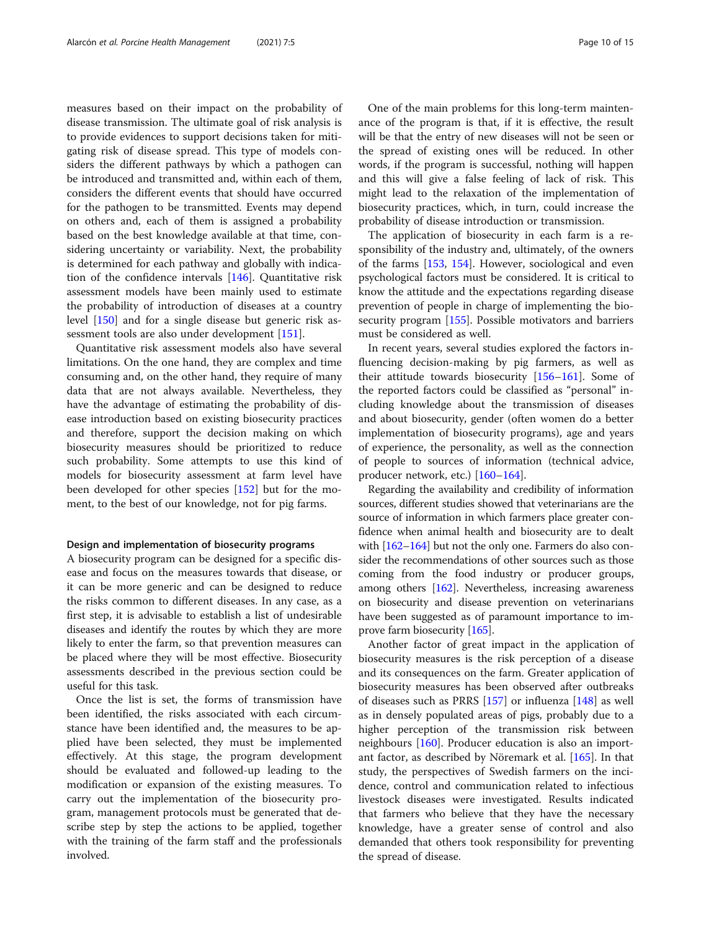measures based on their impact on the probability of disease transmission. The ultimate goal of risk analysis is to provide evidences to support decisions taken for mitigating risk of disease spread. This type of models considers the different pathways by which a pathogen can be introduced and transmitted and, within each of them, considers the different events that should have occurred for the pathogen to be transmitted. Events may depend on others and, each of them is assigned a probability based on the best knowledge available at that time, considering uncertainty or variability. Next, the probability is determined for each pathway and globally with indication of the confidence intervals [\[146](#page-13-0)]. Quantitative risk assessment models have been mainly used to estimate the probability of introduction of diseases at a country level [\[150](#page-13-0)] and for a single disease but generic risk assessment tools are also under development [\[151\]](#page-13-0).

Quantitative risk assessment models also have several limitations. On the one hand, they are complex and time consuming and, on the other hand, they require of many data that are not always available. Nevertheless, they have the advantage of estimating the probability of disease introduction based on existing biosecurity practices and therefore, support the decision making on which biosecurity measures should be prioritized to reduce such probability. Some attempts to use this kind of models for biosecurity assessment at farm level have been developed for other species [[152\]](#page-13-0) but for the moment, to the best of our knowledge, not for pig farms.

#### Design and implementation of biosecurity programs

A biosecurity program can be designed for a specific disease and focus on the measures towards that disease, or it can be more generic and can be designed to reduce the risks common to different diseases. In any case, as a first step, it is advisable to establish a list of undesirable diseases and identify the routes by which they are more likely to enter the farm, so that prevention measures can be placed where they will be most effective. Biosecurity assessments described in the previous section could be useful for this task.

Once the list is set, the forms of transmission have been identified, the risks associated with each circumstance have been identified and, the measures to be applied have been selected, they must be implemented effectively. At this stage, the program development should be evaluated and followed-up leading to the modification or expansion of the existing measures. To carry out the implementation of the biosecurity program, management protocols must be generated that describe step by step the actions to be applied, together with the training of the farm staff and the professionals involved.

One of the main problems for this long-term maintenance of the program is that, if it is effective, the result will be that the entry of new diseases will not be seen or the spread of existing ones will be reduced. In other words, if the program is successful, nothing will happen and this will give a false feeling of lack of risk. This might lead to the relaxation of the implementation of biosecurity practices, which, in turn, could increase the probability of disease introduction or transmission.

The application of biosecurity in each farm is a responsibility of the industry and, ultimately, of the owners of the farms [\[153,](#page-13-0) [154](#page-13-0)]. However, sociological and even psychological factors must be considered. It is critical to know the attitude and the expectations regarding disease prevention of people in charge of implementing the biosecurity program [[155](#page-13-0)]. Possible motivators and barriers must be considered as well.

In recent years, several studies explored the factors influencing decision-making by pig farmers, as well as their attitude towards biosecurity [\[156](#page-13-0)–[161\]](#page-14-0). Some of the reported factors could be classified as "personal" including knowledge about the transmission of diseases and about biosecurity, gender (often women do a better implementation of biosecurity programs), age and years of experience, the personality, as well as the connection of people to sources of information (technical advice, producer network, etc.) [[160](#page-14-0)–[164](#page-14-0)].

Regarding the availability and credibility of information sources, different studies showed that veterinarians are the source of information in which farmers place greater confidence when animal health and biosecurity are to dealt with [\[162](#page-14-0)–[164\]](#page-14-0) but not the only one. Farmers do also consider the recommendations of other sources such as those coming from the food industry or producer groups, among others [\[162\]](#page-14-0). Nevertheless, increasing awareness on biosecurity and disease prevention on veterinarians have been suggested as of paramount importance to improve farm biosecurity [\[165\]](#page-14-0).

Another factor of great impact in the application of biosecurity measures is the risk perception of a disease and its consequences on the farm. Greater application of biosecurity measures has been observed after outbreaks of diseases such as PRRS [\[157](#page-14-0)] or influenza [[148\]](#page-13-0) as well as in densely populated areas of pigs, probably due to a higher perception of the transmission risk between neighbours [[160\]](#page-14-0). Producer education is also an important factor, as described by Nöremark et al. [\[165](#page-14-0)]. In that study, the perspectives of Swedish farmers on the incidence, control and communication related to infectious livestock diseases were investigated. Results indicated that farmers who believe that they have the necessary knowledge, have a greater sense of control and also demanded that others took responsibility for preventing the spread of disease.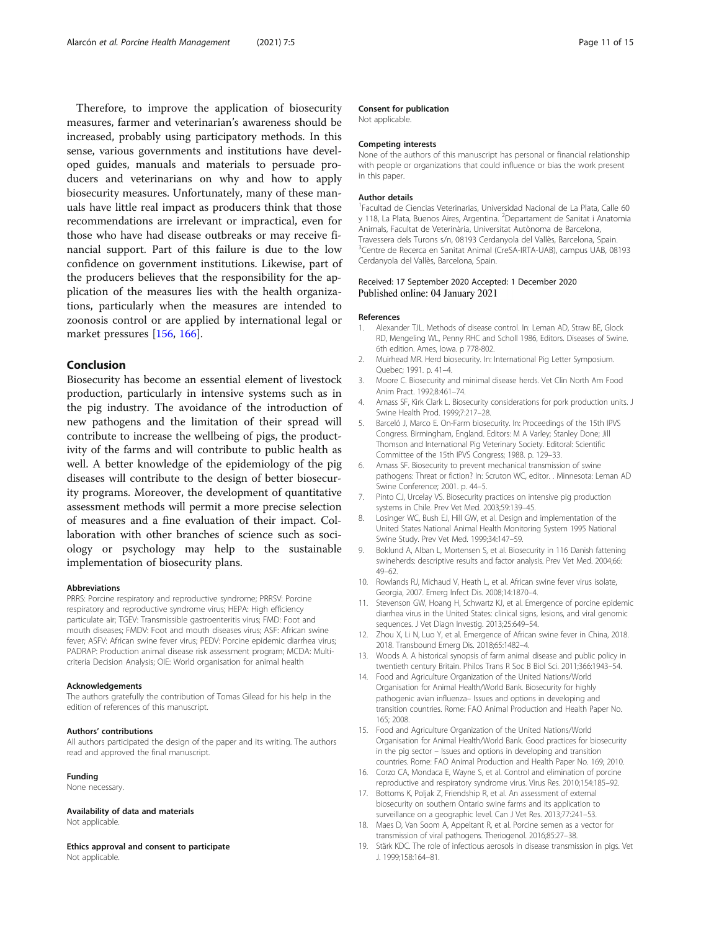<span id="page-10-0"></span>Therefore, to improve the application of biosecurity measures, farmer and veterinarian's awareness should be increased, probably using participatory methods. In this sense, various governments and institutions have developed guides, manuals and materials to persuade producers and veterinarians on why and how to apply biosecurity measures. Unfortunately, many of these manuals have little real impact as producers think that those recommendations are irrelevant or impractical, even for those who have had disease outbreaks or may receive financial support. Part of this failure is due to the low confidence on government institutions. Likewise, part of the producers believes that the responsibility for the application of the measures lies with the health organizations, particularly when the measures are intended to zoonosis control or are applied by international legal or market pressures [\[156](#page-13-0), [166](#page-14-0)].

#### Conclusion

Biosecurity has become an essential element of livestock production, particularly in intensive systems such as in the pig industry. The avoidance of the introduction of new pathogens and the limitation of their spread will contribute to increase the wellbeing of pigs, the productivity of the farms and will contribute to public health as well. A better knowledge of the epidemiology of the pig diseases will contribute to the design of better biosecurity programs. Moreover, the development of quantitative assessment methods will permit a more precise selection of measures and a fine evaluation of their impact. Collaboration with other branches of science such as sociology or psychology may help to the sustainable implementation of biosecurity plans.

#### Abbreviations

PRRS: Porcine respiratory and reproductive syndrome; PRRSV: Porcine respiratory and reproductive syndrome virus; HEPA: High efficiency particulate air; TGEV: Transmissible gastroenteritis virus; FMD: Foot and mouth diseases; FMDV: Foot and mouth diseases virus; ASF: African swine fever; ASFV: African swine fever virus; PEDV: Porcine epidemic diarrhea virus; PADRAP: Production animal disease risk assessment program; MCDA: Multicriteria Decision Analysis; OIE: World organisation for animal health

#### Acknowledgements

The authors gratefully the contribution of Tomas Gilead for his help in the edition of references of this manuscript.

#### Authors' contributions

All authors participated the design of the paper and its writing. The authors read and approved the final manuscript.

#### Funding

None necessary.

Availability of data and materials

Not applicable.

Ethics approval and consent to participate Not applicable.

#### Consent for publication

Not applicable.

#### Competing interests

None of the authors of this manuscript has personal or financial relationship with people or organizations that could influence or bias the work present in this paper.

#### Author details

<sup>1</sup> Facultad de Ciencias Veterinarias, Universidad Nacional de La Plata, Calle 60 y 118, La Plata, Buenos Aires, Argentina. <sup>2</sup>Departament de Sanitat i Anatomia Animals, Facultat de Veterinària, Universitat Autònoma de Barcelona, Travessera dels Turons s/n, 08193 Cerdanyola del Vallès, Barcelona, Spain. 3 Centre de Recerca en Sanitat Animal (CreSA-IRTA-UAB), campus UAB, 08193 Cerdanyola del Vallès, Barcelona, Spain.

#### Received: 17 September 2020 Accepted: 1 December 2020 Published online: 04 January 2021

#### References

- 1. Alexander TJL. Methods of disease control. In: Leman AD, Straw BE, Glock RD, Mengeling WL, Penny RHC and Scholl 1986, Editors. Diseases of Swine. 6th edition. Ames, Iowa. p 778-802.
- 2. Muirhead MR. Herd biosecurity. In: International Pig Letter Symposium. Quebec; 1991. p. 41–4.
- 3. Moore C. Biosecurity and minimal disease herds. Vet Clin North Am Food Anim Pract. 1992;8:461–74.
- 4. Amass SF, Kirk Clark L. Biosecurity considerations for pork production units. J Swine Health Prod. 1999;7:217–28.
- 5. Barceló J, Marco E. On-Farm biosecurity. In: Proceedings of the 15th IPVS Congress. Birmingham, England. Editors: M A Varley; Stanley Done; Jill Thomson and International Pig Veterinary Society. Editoral: Scientific Committee of the 15th IPVS Congress; 1988. p. 129–33.
- 6. Amass SF. Biosecurity to prevent mechanical transmission of swine pathogens: Threat or fiction? In: Scruton WC, editor. . Minnesota: Leman AD Swine Conference; 2001. p. 44–5.
- 7. Pinto CJ, Urcelay VS. Biosecurity practices on intensive pig production systems in Chile. Prev Vet Med. 2003;59:139–45.
- 8. Losinger WC, Bush EJ, Hill GW, et al. Design and implementation of the United States National Animal Health Monitoring System 1995 National Swine Study. Prev Vet Med. 1999;34:147–59.
- 9. Boklund A, Alban L, Mortensen S, et al. Biosecurity in 116 Danish fattening swineherds: descriptive results and factor analysis. Prev Vet Med. 2004;66: 49–62.
- 10. Rowlands RJ, Michaud V, Heath L, et al. African swine fever virus isolate, Georgia, 2007. Emerg Infect Dis. 2008;14:1870–4.
- 11. Stevenson GW, Hoang H, Schwartz KJ, et al. Emergence of porcine epidemic diarrhea virus in the United States: clinical signs, lesions, and viral genomic sequences. J Vet Diagn Investig. 2013;25:649–54.
- 12. Zhou X, Li N, Luo Y, et al. Emergence of African swine fever in China, 2018. 2018. Transbound Emerg Dis. 2018;65:1482–4.
- 13. Woods A. A historical synopsis of farm animal disease and public policy in twentieth century Britain. Philos Trans R Soc B Biol Sci. 2011;366:1943–54.
- 14. Food and Agriculture Organization of the United Nations/World Organisation for Animal Health/World Bank. Biosecurity for highly pathogenic avian influenza– Issues and options in developing and transition countries. Rome: FAO Animal Production and Health Paper No. 165; 2008.
- 15. Food and Agriculture Organization of the United Nations/World Organisation for Animal Health/World Bank. Good practices for biosecurity in the pig sector – Issues and options in developing and transition countries. Rome: FAO Animal Production and Health Paper No. 169; 2010.
- 16. Corzo CA, Mondaca E, Wayne S, et al. Control and elimination of porcine reproductive and respiratory syndrome virus. Virus Res. 2010;154:185–92.
- 17. Bottoms K, Poljak Z, Friendship R, et al. An assessment of external biosecurity on southern Ontario swine farms and its application to surveillance on a geographic level. Can J Vet Res. 2013;77:241–53.
- 18. Maes D, Van Soom A, Appeltant R, et al. Porcine semen as a vector for transmission of viral pathogens. Theriogenol. 2016;85:27–38.
- 19. Stärk KDC. The role of infectious aerosols in disease transmission in pigs. Vet J. 1999;158:164–81.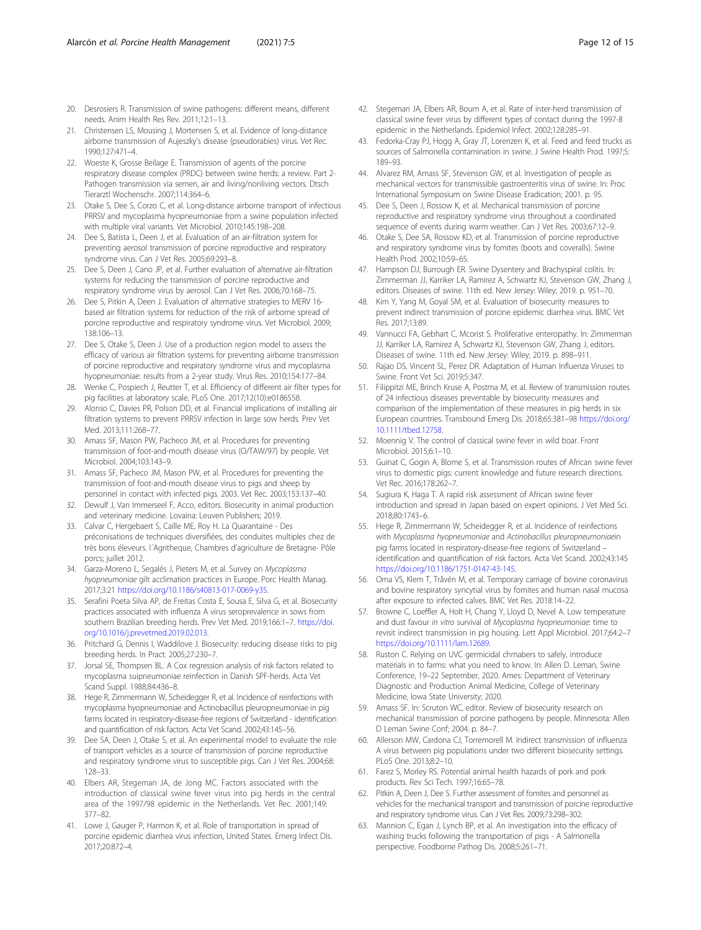- <span id="page-11-0"></span>20. Desrosiers R. Transmission of swine pathogens: different means, different needs. Anim Health Res Rev. 2011;12:1–13.
- 21. Christensen LS, Mousing J, Mortensen S, et al. Evidence of long-distance airborne transmission of Aujeszky's disease (pseudorabies) virus. Vet Rec. 1990;127:471–4.
- 22. Woeste K, Grosse Beilage E. Transmission of agents of the porcine respiratory disease complex (PRDC) between swine herds: a review. Part 2- Pathogen transmission via semen, air and living/nonliving vectors. Dtsch Tierarztl Wochenschr. 2007;114:364–6.
- 23. Otake S, Dee S, Corzo C, et al. Long-distance airborne transport of infectious PRRSV and mycoplasma hyopneumoniae from a swine population infected with multiple viral variants. Vet Microbiol. 2010;145:198–208.
- 24. Dee S, Batista L, Deen J, et al. Evaluation of an air-filtration system for preventing aerosol transmission of porcine reproductive and respiratory syndrome virus. Can J Vet Res. 2005;69:293–8.
- 25. Dee S, Deen J, Cano JP, et al. Further evaluation of alternative air-filtration systems for reducing the transmission of porcine reproductive and respiratory syndrome virus by aerosol. Can J Vet Res. 2006;70:168–75.
- 26. Dee S, Pitkin A, Deen J. Evaluation of alternative strategies to MERV 16 based air filtration systems for reduction of the risk of airborne spread of porcine reproductive and respiratory syndrome virus. Vet Microbiol. 2009; 138:106–13.
- 27. Dee S, Otake S, Deen J. Use of a production region model to assess the efficacy of various air filtration systems for preventing airborne transmission of porcine reproductive and respiratory syndrome virus and mycoplasma hyopneumoniae: results from a 2-year study. Virus Res. 2010;154:177–84.
- 28. Wenke C, Pospiech J, Reutter T, et al. Efficiency of different air filter types for pig facilities at laboratory scale. PLoS One. 2017;12(10):e0186558.
- 29. Alonso C, Davies PR, Polson DD, et al. Financial implications of installing air filtration systems to prevent PRRSV infection in large sow herds. Prev Vet Med. 2013;111:268–77.
- 30. Amass SF, Mason PW, Pacheco JM, et al. Procedures for preventing transmission of foot-and-mouth disease virus (O/TAW/97) by people. Vet Microbiol. 2004;103:143–9.
- 31. Amass SF, Pacheco JM, Mason PW, et al. Procedures for preventing the transmission of foot-and-mouth disease virus to pigs and sheep by personnel in contact with infected pigs. 2003. Vet Rec. 2003;153:137–40.
- 32. Dewulf J, Van Immerseel F, Acco, editors. Biosecurity in animal production and veterinary medicine. Lovaina: Leuven Publishers; 2019.
- 33. Calvar C, Hergebaert S, Caille ME, Roy H. La Quarantaine Des préconisations de techniques diversifiées, des conduites multiples chez de très bons éleveurs. l´Agritheque, Chambres d'agriculture de Bretagne- Pôle porcs; juillet 2012.
- 34. Garza-Moreno L, Segalés J, Pieters M, et al. Survey on Mycoplasma hyopneumoniae gilt acclimation practices in Europe. Porc Health Manag. 2017;3:21 <https://doi.org/10.1186/s40813-017-0069-y35>.
- 35. Serafini Poeta Silva AP, de Freitas Costa E, Sousa E, Silva G, et al. Biosecurity practices associated with influenza A virus seroprevalence in sows from southern Brazilian breeding herds. Prev Vet Med. 2019;166:1–7. [https://doi.](https://doi.org/10.1016/j.prevetmed.2019.02.013) [org/10.1016/j.prevetmed.2019.02.013](https://doi.org/10.1016/j.prevetmed.2019.02.013).
- 36. Pritchard G, Dennis I, Waddilove J. Biosecurity: reducing disease risks to pig breeding herds. In Pract. 2005;27:230–7.
- 37. Jorsal SE, Thompsen BL. A Cox regression analysis of risk factors related to mycoplasma suipneumoniae reinfection in Danish SPF-herds. Acta Vet Scand Suppl. 1988;84:436–8.
- 38. Hege R, Zimmermann W, Scheidegger R, et al. Incidence of reinfections with mycoplasma hyopneumoniae and Actinobacillus pleuropneumoniae in pig farms located in respiratory-disease-free regions of Switzerland - identification and quantification of risk factors. Acta Vet Scand. 2002;43:145–56.
- 39. Dee SA, Deen J, Otake S, et al. An experimental model to evaluate the role of transport vehicles as a source of transmission of porcine reproductive and respiratory syndrome virus to susceptible pigs. Can J Vet Res. 2004;68: 128–33.
- 40. Elbers AR, Stegeman JA, de Jong MC. Factors associated with the introduction of classical swine fever virus into pig herds in the central area of the 1997/98 epidemic in the Netherlands. Vet Rec. 2001;149: 377–82.
- 41. Lowe J, Gauger P, Harmon K, et al. Role of transportation in spread of porcine epidemic diarrhea virus infection, United States. Emerg Infect Dis. 2017;20:872–4.
- 42. Stegeman JA, Elbers AR, Boum A, et al. Rate of inter-herd transmission of classical swine fever virus by different types of contact during the 1997-8 epidemic in the Netherlands. Epidemiol Infect. 2002;128:285–91.
- 43. Fedorka-Cray PJ, Hogg A, Gray JT, Lorenzen K, et al. Feed and feed trucks as sources of Salmonella contamination in swine. J Swine Health Prod. 1997;5: 189–93.
- 44. Alvarez RM, Amass SF, Stevenson GW, et al. Investigation of people as mechanical vectors for transmissible gastroenteritis virus of swine. In: Proc International Symposium on Swine Disease Eradication; 2001. p. 95.
- 45. Dee S, Deen J, Rossow K, et al. Mechanical transmission of porcine reproductive and respiratory syndrome virus throughout a coordinated sequence of events during warm weather. Can J Vet Res. 2003;67:12–9.
- 46. Otake S, Dee SA, Rossow KD, et al. Transmission of porcine reproductive and respiratory syndrome virus by fomites (boots and coveralls). Swine Health Prod. 2002;10:59–65.
- 47. Hampson DJ, Burrough ER. Swine Dysentery and Brachyspiral colitis. In: Zimmerman JJ, Karriker LA, Ramirez A, Schwartz KJ, Stevenson GW, Zhang J, editors. Diseases of swine. 11th ed. New Jersey: Wiley; 2019. p. 951–70.
- 48. Kim Y, Yang M, Goyal SM, et al. Evaluation of biosecurity measures to prevent indirect transmission of porcine epidemic diarrhea virus. BMC Vet Res. 2017;13:89.
- 49. Vannucci FA, Gebhart C, Mcorist S. Proliferative enteropathy. In: Zimmerman JJ, Karriker LA, Ramirez A, Schwartz KJ, Stevenson GW, Zhang J, editors. Diseases of swine. 11th ed. New Jersey: Wiley; 2019. p. 898–911.
- 50. Rajao DS, Vincent SL, Perez DR. Adaptation of Human Influenza Viruses to Swine. Front Vet Sci. 2019;5:347.
- 51. Filippitzi ME, Brinch Kruse A, Postma M, et al. Review of transmission routes of 24 infectious diseases preventable by biosecurity measures and comparison of the implementation of these measures in pig herds in six European countries. Transbound Emerg Dis. 2018;65:381–98 [https://doi.org/](https://doi.org/10.1111/tbed.12758) [10.1111/tbed.12758](https://doi.org/10.1111/tbed.12758).
- 52. Moennig V. The control of classical swine fever in wild boar. Front Microbiol. 2015;6:1–10.
- 53. Guinat C, Gogin A, Blome S, et al. Transmission routes of African swine fever virus to domestic pigs: current knowledge and future research directions. Vet Rec. 2016;178:262–7.
- 54. Sugiura K, Haga T. A rapid risk assessment of African swine fever introduction and spread in Japan based on expert opinions. J Vet Med Sci. 2018;80:1743–6.
- 55. Hege R, Zimmermann W, Scheidegger R, et al. Incidence of reinfections with Mycoplasma hyopneumoniae and Actinobacillus pleuropneumoniaein pig farms located in respiratory-disease-free regions of Switzerland – identification and quantification of risk factors. Acta Vet Scand. 2002;43:145 [https://doi.org/10.1186/1751-0147-43-145.](https://doi.org/10.1186/1751-0147-43-145)
- 56. Oma VS, Klem T, Tråvén M, et al. Temporary carriage of bovine coronavirus and bovine respiratory syncytial virus by fomites and human nasal mucosa after exposure to infected calves. BMC Vet Res. 2018:14–22.
- 57. Browne C, Loeffler A, Holt H, Chang Y, Lloyd D, Nevel A. Low temperature and dust favour in vitro survival of Mycoplasma hyopneumoniae: time to revisit indirect transmission in pig housing. Lett Appl Microbiol. 2017;64:2–7 [https://doi.org/10.1111/lam.12689.](https://doi.org/10.1111/lam.12689)
- 58. Ruston C. Relying on UVC germicidal chmabers to safely, introduce materials in to farms: what you need to know. In: Allen D. Leman, Swine Conference, 19–22 September, 2020. Ames: Department of Veterinary Diagnostic and Production Animal Medicine, College of Veterinary Medicine, Iowa State University; 2020.
- 59. Amass SF. In: Scruton WC, editor. Review of biosecurity research on mechanical transmission of porcine pathogens by people. Minnesota: Allen D Leman Swine Conf; 2004. p. 84–7.
- 60. Allerson MW, Cardona CJ, Torremorell M. Indirect transmission of influenza A virus between pig populations under two different biosecurity settings. PLoS One. 2013;8:2–10.
- 61. Farez S, Morley RS. Potential animal health hazards of pork and pork products. Rev Sci Tech. 1997;16:65–78.
- 62. Pitkin A, Deen J, Dee S. Further assessment of fomites and personnel as vehicles for the mechanical transport and transmission of porcine reproductive and respiratory syndrome virus. Can J Vet Res. 2009;73:298–302.
- 63. Mannion C, Egan J, Lynch BP, et al. An investigation into the efficacy of washing trucks following the transportation of pigs - A Salmonella perspective. Foodborne Pathog Dis. 2008;5:261–71.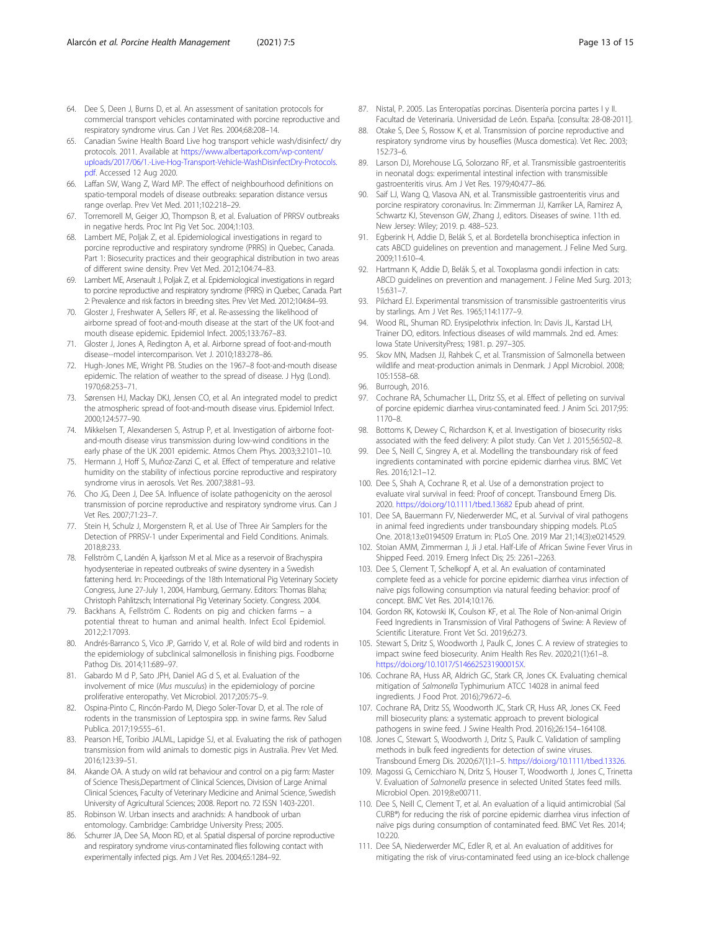- <span id="page-12-0"></span>64. Dee S, Deen J, Burns D, et al. An assessment of sanitation protocols for commercial transport vehicles contaminated with porcine reproductive and respiratory syndrome virus. Can J Vet Res. 2004;68:208–14.
- 65. Canadian Swine Health Board Live hog transport vehicle wash/disinfect/ dry protocols. 2011. Available at [https://www.albertapork.com/wp-content/](https://www.albertapork.com/wp-content/uploads/2017/06/1.-Live-Hog-Transport-Vehicle-WashDisinfectDry-Protocols.pdf) [uploads/2017/06/1.-Live-Hog-Transport-Vehicle-WashDisinfectDry-Protocols.](https://www.albertapork.com/wp-content/uploads/2017/06/1.-Live-Hog-Transport-Vehicle-WashDisinfectDry-Protocols.pdf) [pdf](https://www.albertapork.com/wp-content/uploads/2017/06/1.-Live-Hog-Transport-Vehicle-WashDisinfectDry-Protocols.pdf). Accessed 12 Aug 2020.
- 66. Laffan SW, Wang Z, Ward MP. The effect of neighbourhood definitions on spatio-temporal models of disease outbreaks: separation distance versus range overlap. Prev Vet Med. 2011;102:218–29.
- 67. Torremorell M, Geiger JO, Thompson B, et al. Evaluation of PRRSV outbreaks in negative herds. Proc Int Pig Vet Soc. 2004;1:103.
- 68. Lambert ME, Poljak Z, et al. Epidemiological investigations in regard to porcine reproductive and respiratory syndrome (PRRS) in Quebec, Canada. Part 1: Biosecurity practices and their geographical distribution in two areas of different swine density. Prev Vet Med. 2012;104:74–83.
- 69. Lambert ME, Arsenault J, Poljak Z, et al. Epidemiological investigations in regard to porcine reproductive and respiratory syndrome (PRRS) in Quebec, Canada. Part 2: Prevalence and risk factors in breeding sites. Prev Vet Med. 2012;104:84–93.
- 70. Gloster J, Freshwater A, Sellers RF, et al. Re-assessing the likelihood of airborne spread of foot-and-mouth disease at the start of the UK foot-and mouth disease epidemic. Epidemiol Infect. 2005;133:767–83.
- 71. Gloster J, Jones A, Redington A, et al. Airborne spread of foot-and-mouth disease--model intercomparison. Vet J. 2010;183:278–86.
- 72. Hugh-Jones ME, Wright PB. Studies on the 1967–8 foot-and-mouth disease epidemic. The relation of weather to the spread of disease. J Hyg (Lond). 1970;68:253–71.
- 73. Sørensen HJ, Mackay DKJ, Jensen CO, et al. An integrated model to predict the atmospheric spread of foot-and-mouth disease virus. Epidemiol Infect. 2000;124:577–90.
- 74. Mikkelsen T, Alexandersen S, Astrup P, et al. Investigation of airborne footand-mouth disease virus transmission during low-wind conditions in the early phase of the UK 2001 epidemic. Atmos Chem Phys. 2003;3:2101–10.
- 75. Hermann J, Hoff S, Muñoz-Zanzi C, et al. Effect of temperature and relative humidity on the stability of infectious porcine reproductive and respiratory syndrome virus in aerosols. Vet Res. 2007;38:81–93.
- 76. Cho JG, Deen J, Dee SA. Influence of isolate pathogenicity on the aerosol transmission of porcine reproductive and respiratory syndrome virus. Can J Vet Res. 2007;71:23–7.
- 77. Stein H, Schulz J, Morgenstern R, et al. Use of Three Air Samplers for the Detection of PRRSV-1 under Experimental and Field Conditions. Animals. 2018;8:233.
- 78. Fellström C, Landén A, kjarlsson M et al. Mice as a reservoir of Brachyspira hyodysenteriae in repeated outbreaks of swine dysentery in a Swedish fattening herd. In: Proceedings of the 18th International Pig Veterinary Society Congress, June 27-July 1, 2004, Hamburg, Germany. Editors: Thomas Blaha; Christoph Pahlitzsch; International Pig Veterinary Society. Congress. 2004.
- 79. Backhans A, Fellström C. Rodents on pig and chicken farms a potential threat to human and animal health. Infect Ecol Epidemiol. 2012;2:17093.
- 80. Andrés-Barranco S, Vico JP, Garrido V, et al. Role of wild bird and rodents in the epidemiology of subclinical salmonellosis in finishing pigs. Foodborne Pathog Dis. 2014;11:689–97.
- 81. Gabardo M d P, Sato JPH, Daniel AG d S, et al. Evaluation of the involvement of mice (Mus musculus) in the epidemiology of porcine proliferative enteropathy. Vet Microbiol. 2017;205:75–9.
- 82. Ospina-Pinto C, Rincón-Pardo M, Diego Soler-Tovar D, et al. The role of rodents in the transmission of Leptospira spp. in swine farms. Rev Salud Publica. 2017;19:555–61.
- 83. Pearson HE, Toribio JALML, Lapidge SJ, et al. Evaluating the risk of pathogen transmission from wild animals to domestic pigs in Australia. Prev Vet Med. 2016;123:39–51.
- 84. Akande OA. A study on wild rat behaviour and control on a pig farm: Master of Science Thesis,Department of Clinical Sciences, Division of Large Animal Clinical Sciences, Faculty of Veterinary Medicine and Animal Science, Swedish University of Agricultural Sciences; 2008. Report no. 72 ISSN 1403-2201.
- 85. Robinson W. Urban insects and arachnids: A handbook of urban entomology. Cambridge: Cambridge University Press; 2005.
- 86. Schurrer JA, Dee SA, Moon RD, et al. Spatial dispersal of porcine reproductive and respiratory syndrome virus-contaminated flies following contact with experimentally infected pigs. Am J Vet Res. 2004;65:1284–92.
- 87. Nistal, P. 2005. Las Enteropatías porcinas. Disentería porcina partes I y II. Facultad de Veterinaria. Universidad de León. España. [consulta: 28-08-2011].
- Otake S, Dee S, Rossow K, et al. Transmission of porcine reproductive and respiratory syndrome virus by houseflies (Musca domestica). Vet Rec. 2003; 152:73–6.
- 89. Larson DJ, Morehouse LG, Solorzano RF, et al. Transmissible gastroenteritis in neonatal dogs: experimental intestinal infection with transmissible gastroenteritis virus. Am J Vet Res. 1979;40:477–86.
- 90. Saif LJ, Wang Q, Vlasova AN, et al. Transmissible gastroenteritis virus and porcine respiratory coronavirus. In: Zimmerman JJ, Karriker LA, Ramirez A, Schwartz KJ, Stevenson GW, Zhang J, editors. Diseases of swine. 11th ed. New Jersey: Wiley; 2019. p. 488–523.
- 91. Egberink H, Addie D, Belák S, et al. Bordetella bronchiseptica infection in cats ABCD guidelines on prevention and management. J Feline Med Surg. 2009;11:610–4.
- 92. Hartmann K, Addie D, Belák S, et al. Toxoplasma gondii infection in cats: ABCD guidelines on prevention and management. J Feline Med Surg. 2013; 15:631–7.
- 93. Pilchard EJ. Experimental transmission of transmissible gastroenteritis virus by starlings. Am J Vet Res. 1965;114:1177–9.
- 94. Wood RL, Shuman RD. Erysipelothrix infection. In: Davis JL, Karstad LH, Trainer DO, editors. Infectious diseases of wild mammals. 2nd ed. Ames: Iowa State UniversityPress; 1981. p. 297–305.
- 95. Skov MN, Madsen JJ, Rahbek C, et al. Transmission of Salmonella between wildlife and meat-production animals in Denmark. J Appl Microbiol. 2008; 105:1558–68.
- 96. Burrough, 2016.
- 97. Cochrane RA, Schumacher LL, Dritz SS, et al. Effect of pelleting on survival of porcine epidemic diarrhea virus-contaminated feed. J Anim Sci. 2017;95: 1170–8.
- 98. Bottoms K, Dewey C, Richardson K, et al. Investigation of biosecurity risks associated with the feed delivery: A pilot study. Can Vet J. 2015;56:502–8.
- Dee S, Neill C, Singrey A, et al. Modelling the transboundary risk of feed ingredients contaminated with porcine epidemic diarrhea virus. BMC Vet Res. 2016;12:1–12.
- 100. Dee S, Shah A, Cochrane R, et al. Use of a demonstration project to evaluate viral survival in feed: Proof of concept. Transbound Emerg Dis. 2020. <https://doi.org/10.1111/tbed.13682> Epub ahead of print.
- 101. Dee SA, Bauermann FV, Niederwerder MC, et al. Survival of viral pathogens in animal feed ingredients under transboundary shipping models. PLoS One. 2018;13:e0194509 Erratum in: PLoS One. 2019 Mar 21;14(3):e0214529.
- 102. Stoian AMM, Zimmerman J, Ji J etal. Half-Life of African Swine Fever Virus in Shipped Feed. 2019. Emerg Infect Dis; 25: 2261–2263.
- 103. Dee S, Clement T, Schelkopf A, et al. An evaluation of contaminated complete feed as a vehicle for porcine epidemic diarrhea virus infection of naïve pigs following consumption via natural feeding behavior: proof of concept. BMC Vet Res. 2014;10:176.
- 104. Gordon RK, Kotowski IK, Coulson KF, et al. The Role of Non-animal Origin Feed Ingredients in Transmission of Viral Pathogens of Swine: A Review of Scientific Literature. Front Vet Sci. 2019;6:273.
- 105. Stewart S, Dritz S, Woodworth J, Paulk C, Jones C. A review of strategies to impact swine feed biosecurity. Anim Health Res Rev. 2020;21(1):61–8. <https://doi.org/10.1017/S146625231900015X>.
- 106. Cochrane RA, Huss AR, Aldrich GC, Stark CR, Jones CK. Evaluating chemical mitigation of Salmonella Typhimurium ATCC 14028 in animal feed ingredients. J Food Prot. 2016);79:672–6.
- 107. Cochrane RA, Dritz SS, Woodworth JC, Stark CR, Huss AR, Jones CK. Feed mill biosecurity plans: a systematic approach to prevent biological pathogens in swine feed. J Swine Health Prod. 2016);26:154–164108.
- 108. Jones C, Stewart S, Woodworth J, Dritz S, Paulk C. Validation of sampling methods in bulk feed ingredients for detection of swine viruses. Transbound Emerg Dis. 2020;67(1):1–5. [https://doi.org/10.1111/tbed.13326.](https://doi.org/10.1111/tbed.13326)
- 109. Magossi G, Cernicchiaro N, Dritz S, Houser T, Woodworth J, Jones C, Trinetta V. Evaluation of Salmonella presence in selected United States feed mills. Microbiol Open. 2019;8:e00711.
- 110. Dee S, Neill C, Clement T, et al. An evaluation of a liquid antimicrobial (Sal CURB®) for reducing the risk of porcine epidemic diarrhea virus infection of naïve pigs during consumption of contaminated feed. BMC Vet Res. 2014; 10:220.
- 111. Dee SA, Niederwerder MC, Edler R, et al. An evaluation of additives for mitigating the risk of virus-contaminated feed using an ice-block challenge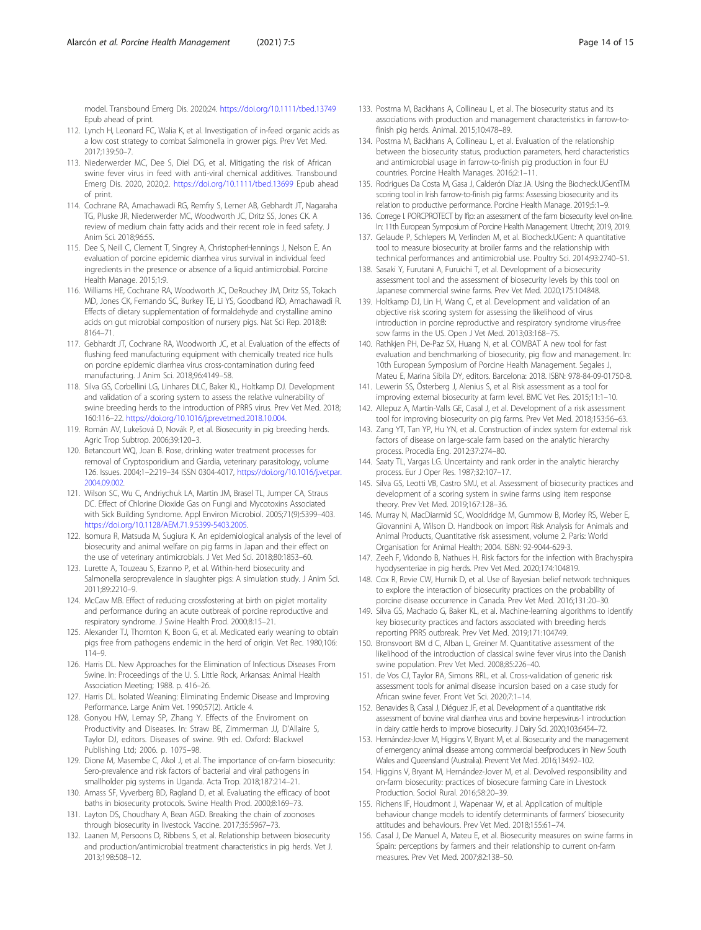<span id="page-13-0"></span>model. Transbound Emerg Dis. 2020;24. <https://doi.org/10.1111/tbed.13749> Epub ahead of print.

- 112. Lynch H, Leonard FC, Walia K, et al. Investigation of in-feed organic acids as a low cost strategy to combat Salmonella in grower pigs. Prev Vet Med. 2017;139:50–7.
- 113. Niederwerder MC, Dee S, Diel DG, et al. Mitigating the risk of African swine fever virus in feed with anti-viral chemical additives. Transbound Emerg Dis. 2020, 2020;2. <https://doi.org/10.1111/tbed.13699> Epub ahead of print.
- 114. Cochrane RA, Amachawadi RG, Remfry S, Lerner AB, Gebhardt JT, Nagaraha TG, Pluske JR, Niederwerder MC, Woodworth JC, Dritz SS, Jones CK. A review of medium chain fatty acids and their recent role in feed safety. J Anim Sci. 2018;96:55.
- 115. Dee S, Neill C, Clement T, Singrey A, ChristopherHennings J, Nelson E. An evaluation of porcine epidemic diarrhea virus survival in individual feed ingredients in the presence or absence of a liquid antimicrobial. Porcine Health Manage. 2015;1:9.
- 116. Williams HE, Cochrane RA, Woodworth JC, DeRouchey JM, Dritz SS, Tokach MD, Jones CK, Fernando SC, Burkey TE, Li YS, Goodband RD, Amachawadi R. Effects of dietary supplementation of formaldehyde and crystalline amino acids on gut microbial composition of nursery pigs. Nat Sci Rep. 2018;8: 8164–71.
- 117. Gebhardt JT, Cochrane RA, Woodworth JC, et al. Evaluation of the effects of flushing feed manufacturing equipment with chemically treated rice hulls on porcine epidemic diarrhea virus cross-contamination during feed manufacturing. J Anim Sci. 2018;96:4149–58.
- 118. Silva GS, Corbellini LG, Linhares DLC, Baker KL, Holtkamp DJ. Development and validation of a scoring system to assess the relative vulnerability of swine breeding herds to the introduction of PRRS virus. Prev Vet Med. 2018; 160:116–22. <https://doi.org/10.1016/j.prevetmed.2018.10.004>.
- 119. Román AV, Lukešová D, Novák P, et al. Biosecurity in pig breeding herds. Agric Trop Subtrop. 2006;39:120–3.
- 120. Betancourt WQ, Joan B. Rose, drinking water treatment processes for removal of Cryptosporidium and Giardia, veterinary parasitology, volume 126. Issues. 2004;1–2:219–34 ISSN 0304-4017, [https://doi.org/10.1016/j.vetpar.](https://doi.org/10.1016/j.vetpar.2004.09.002) [2004.09.002.](https://doi.org/10.1016/j.vetpar.2004.09.002)
- 121. Wilson SC, Wu C, Andriychuk LA, Martin JM, Brasel TL, Jumper CA, Straus DC. Effect of Chlorine Dioxide Gas on Fungi and Mycotoxins Associated with Sick Building Syndrome. Appl Environ Microbiol. 2005;71(9):5399–403. [https://doi.org/10.1128/AEM.71.9.5399-5403.2005.](https://doi.org/10.1128/AEM.71.9.5399-5403.2005)
- 122. Isomura R, Matsuda M, Sugiura K. An epidemiological analysis of the level of biosecurity and animal welfare on pig farms in Japan and their effect on the use of veterinary antimicrobials. J Vet Med Sci. 2018;80:1853–60.
- 123. Lurette A, Touzeau S, Ezanno P, et al. Within-herd biosecurity and Salmonella seroprevalence in slaughter pigs: A simulation study. J Anim Sci. 2011;89:2210–9.
- 124. McCaw MB. Effect of reducing crossfostering at birth on piglet mortality and performance during an acute outbreak of porcine reproductive and respiratory syndrome. J Swine Health Prod. 2000;8:15–21.
- 125. Alexander TJ, Thornton K, Boon G, et al. Medicated early weaning to obtain pigs free from pathogens endemic in the herd of origin. Vet Rec. 1980;106: 114–9.
- 126. Harris DL. New Approaches for the Elimination of Infectious Diseases From Swine. In: Proceedings of the U. S. Little Rock, Arkansas: Animal Health Association Meeting; 1988. p. 416–26.
- 127. Harris DL. Isolated Weaning: Eliminating Endemic Disease and Improving Performance. Large Anim Vet. 1990;57(2). Article 4.
- 128. Gonyou HW, Lemay SP, Zhang Y. Effects of the Enviroment on Productivity and Diseases. In: Straw BE, Zimmerman JJ, D'Allaire S, Taylor DJ, editors. Diseases of swine. 9th ed. Oxford: Blackwel Publishing Ltd; 2006. p. 1075–98.
- 129. Dione M, Masembe C, Akol J, et al. The importance of on-farm biosecurity: Sero-prevalence and risk factors of bacterial and viral pathogens in smallholder pig systems in Uganda. Acta Trop. 2018;187:214–21.
- 130. Amass SF, Vyverberg BD, Ragland D, et al. Evaluating the efficacy of boot baths in biosecurity protocols. Swine Health Prod. 2000;8:169–73.
- 131. Layton DS, Choudhary A, Bean AGD. Breaking the chain of zoonoses through biosecurity in livestock. Vaccine. 2017;35:5967–73.
- 132. Laanen M, Persoons D, Ribbens S, et al. Relationship between biosecurity and production/antimicrobial treatment characteristics in pig herds. Vet J. 2013;198:508–12.
- 133. Postma M, Backhans A, Collineau L, et al. The biosecurity status and its associations with production and management characteristics in farrow-tofinish pig herds. Animal. 2015;10:478–89.
- 134. Postma M, Backhans A, Collineau L, et al. Evaluation of the relationship between the biosecurity status, production parameters, herd characteristics and antimicrobial usage in farrow-to-finish pig production in four EU countries. Porcine Health Manages. 2016;2:1–11.
- 135. Rodrigues Da Costa M, Gasa J, Calderón Díaz JA. Using the Biocheck.UGentTM scoring tool in Irish farrow-to-finish pig farms: Assessing biosecurity and its relation to productive performance. Porcine Health Manage. 2019;5:1–9.
- 136. Correge I. PORCPROTECT by Ifip: an assessment of the farm biosecurity level on-line. In: 11th European Symposium of Porcine Health Management. Utrecht; 2019, 2019.
- 137. Gelaude P, Schlepers M, Verlinden M, et al. Biocheck.UGent: A quantitative tool to measure biosecurity at broiler farms and the relationship with technical performances and antimicrobial use. Poultry Sci. 2014;93:2740–51.
- 138. Sasaki Y, Furutani A, Furuichi T, et al. Development of a biosecurity assessment tool and the assessment of biosecurity levels by this tool on Japanese commercial swine farms. Prev Vet Med. 2020;175:104848.
- 139. Holtkamp DJ, Lin H, Wang C, et al. Development and validation of an objective risk scoring system for assessing the likelihood of virus introduction in porcine reproductive and respiratory syndrome virus-free sow farms in the US. Open J Vet Med. 2013;03:168–75.
- 140. Rathkjen PH, De-Paz SX, Huang N, et al. COMBAT A new tool for fast evaluation and benchmarking of biosecurity, pig flow and management. In: 10th European Symposium of Porcine Health Management. Segales J, Mateu E, Marina Sibila DY, editors. Barcelona: 2018. ISBN: 978-84-09-01750-8.
- 141. Lewerin SS, Österberg J, Alenius S, et al. Risk assessment as a tool for improving external biosecurity at farm level. BMC Vet Res. 2015;11:1–10.
- 142. Allepuz A, Martín-Valls GE, Casal J, et al. Development of a risk assessment tool for improving biosecurity on pig farms. Prev Vet Med. 2018;153:56–63.
- 143. Zang YT, Tan YP, Hu YN, et al. Construction of index system for external risk factors of disease on large-scale farm based on the analytic hierarchy process. Procedia Eng. 2012;37:274–80.
- 144. Saaty TL, Vargas LG. Uncertainty and rank order in the analytic hierarchy process. Eur J Oper Res. 1987;32:107–17.
- 145. Silva GS, Leotti VB, Castro SMJ, et al. Assessment of biosecurity practices and development of a scoring system in swine farms using item response theory. Prev Vet Med. 2019;167:128–36.
- 146. Murray N, MacDiarmid SC, Wooldridge M, Gummow B, Morley RS, Weber E, Giovannini A, Wilson D. Handbook on import Risk Analysis for Animals and Animal Products, Quantitative risk assessment, volume 2. Paris: World Organisation for Animal Health; 2004. ISBN: 92-9044-629-3.
- 147. Zeeh F, Vidondo B, Nathues H. Risk factors for the infection with Brachyspira hyodysenteriae in pig herds. Prev Vet Med. 2020;174:104819.
- 148. Cox R, Revie CW, Hurnik D, et al. Use of Bayesian belief network techniques to explore the interaction of biosecurity practices on the probability of porcine disease occurrence in Canada. Prev Vet Med. 2016;131:20–30.
- 149. Silva GS, Machado G, Baker KL, et al. Machine-learning algorithms to identify key biosecurity practices and factors associated with breeding herds reporting PRRS outbreak. Prev Vet Med. 2019;171:104749.
- 150. Bronsvoort BM d C, Alban L, Greiner M. Quantitative assessment of the likelihood of the introduction of classical swine fever virus into the Danish swine population. Prev Vet Med. 2008;85:226–40.
- 151. de Vos CJ, Taylor RA, Simons RRL, et al. Cross-validation of generic risk assessment tools for animal disease incursion based on a case study for African swine fever. Front Vet Sci. 2020;7:1–14.
- 152. Benavides B, Casal J, Diéguez JF, et al. Development of a quantitative risk assessment of bovine viral diarrhea virus and bovine herpesvirus-1 introduction in dairy cattle herds to improve biosecurity. J Dairy Sci. 2020;103:6454–72.
- 153. Hernández-Jover M, Higgins V, Bryant M, et al. Biosecurity and the management of emergency animal disease among commercial beefproducers in New South Wales and Queensland (Australia). Prevent Vet Med. 2016;134:92–102.
- 154. Higgins V, Bryant M, Hernández-Jover M, et al. Devolved responsibility and on-farm biosecurity: practices of biosecure farming Care in Livestock Production. Sociol Rural. 2016;58:20–39.
- 155. Richens IF, Houdmont J, Wapenaar W, et al. Application of multiple behaviour change models to identify determinants of farmers' biosecurity attitudes and behaviours. Prev Vet Med. 2018;155:61–74.
- 156. Casal J, De Manuel A, Mateu E, et al. Biosecurity measures on swine farms in Spain: perceptions by farmers and their relationship to current on-farm measures. Prev Vet Med. 2007;82:138–50.